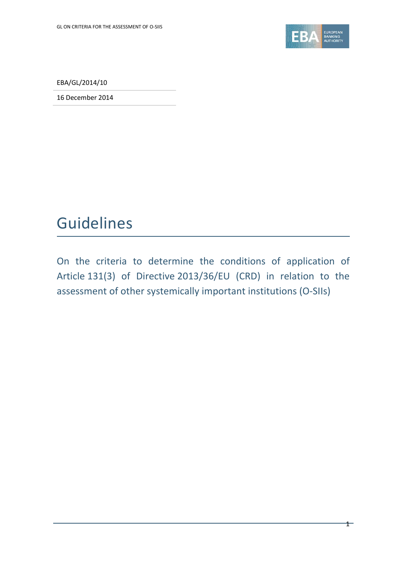

 $\mathbf{1}$ 

EBA/GL/2014/10

16 December 2014

# Guidelines

On the criteria to determine the conditions of application of Article 131(3) of Directive 2013/36/EU (CRD) in relation to the assessment of other systemically important institutions (O-SIIs)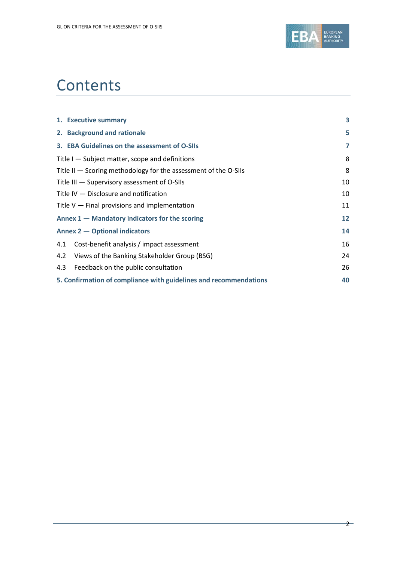

# **Contents**

|     | 1. Executive summary                                                | 3  |
|-----|---------------------------------------------------------------------|----|
|     | 2. Background and rationale                                         | 5  |
|     | 3. EBA Guidelines on the assessment of O-SIIs                       | 7  |
|     | Title I – Subject matter, scope and definitions                     | 8  |
|     | Title $II$ $-$ Scoring methodology for the assessment of the O-SIIs | 8  |
|     | Title III – Supervisory assessment of O-SIIs                        | 10 |
|     | Title IV - Disclosure and notification                              | 10 |
|     | Title $V -$ Final provisions and implementation                     | 11 |
|     | Annex $1$ – Mandatory indicators for the scoring                    | 12 |
|     | <b>Annex 2 – Optional indicators</b>                                | 14 |
| 4.1 | Cost-benefit analysis / impact assessment                           | 16 |
| 4.2 | Views of the Banking Stakeholder Group (BSG)                        | 24 |
| 4.3 | Feedback on the public consultation                                 | 26 |
|     | 5. Confirmation of compliance with guidelines and recommendations   | 40 |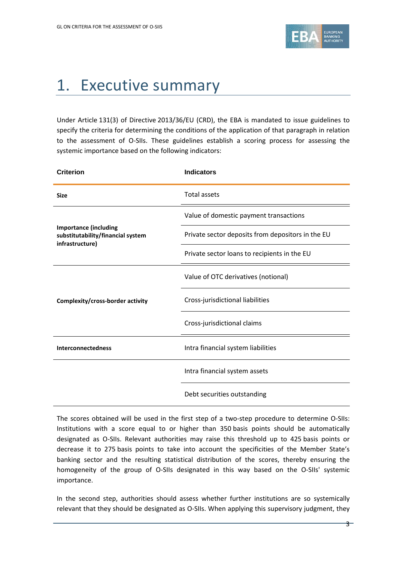

# <span id="page-2-0"></span>1. Executive summary

Under Article 131(3) of Directive 2013/36/EU (CRD), the EBA is mandated to issue guidelines to specify the criteria for determining the conditions of the application of that paragraph in relation to the assessment of O-SIIs. These guidelines establish a scoring process for assessing the systemic importance based on the following indicators:

| <b>Criterion</b>                                                                     | <b>Indicators</b>                                 |
|--------------------------------------------------------------------------------------|---------------------------------------------------|
| <b>Size</b>                                                                          | Total assets                                      |
|                                                                                      | Value of domestic payment transactions            |
| <b>Importance (including</b><br>substitutability/financial system<br>infrastructure) | Private sector deposits from depositors in the EU |
|                                                                                      | Private sector loans to recipients in the EU      |
|                                                                                      | Value of OTC derivatives (notional)               |
| Complexity/cross-border activity                                                     | Cross-jurisdictional liabilities                  |
|                                                                                      | Cross-jurisdictional claims                       |
| <b>Interconnectedness</b>                                                            | Intra financial system liabilities                |
|                                                                                      | Intra financial system assets                     |
|                                                                                      | Debt securities outstanding                       |

The scores obtained will be used in the first step of a two-step procedure to determine O-SIIs: Institutions with a score equal to or higher than 350 basis points should be automatically designated as O-SIIs. Relevant authorities may raise this threshold up to 425 basis points or decrease it to 275 basis points to take into account the specificities of the Member State's banking sector and the resulting statistical distribution of the scores, thereby ensuring the homogeneity of the group of O-SIIs designated in this way based on the O-SIIs' systemic importance.

In the second step, authorities should assess whether further institutions are so systemically relevant that they should be designated as O-SIIs. When applying this supervisory judgment, they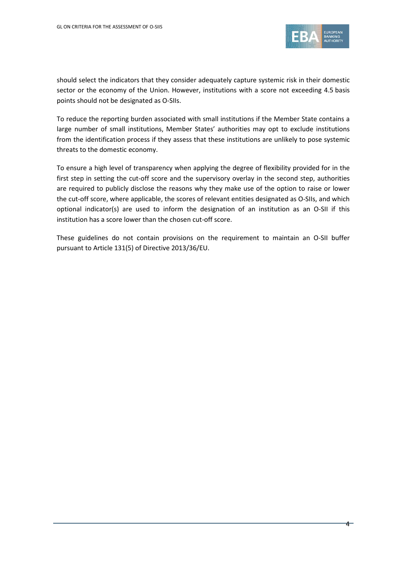

should select the indicators that they consider adequately capture systemic risk in their domestic sector or the economy of the Union. However, institutions with a score not exceeding 4.5 basis points should not be designated as O-SIIs.

To reduce the reporting burden associated with small institutions if the Member State contains a large number of small institutions, Member States' authorities may opt to exclude institutions from the identification process if they assess that these institutions are unlikely to pose systemic threats to the domestic economy.

To ensure a high level of transparency when applying the degree of flexibility provided for in the first step in setting the cut-off score and the supervisory overlay in the second step, authorities are required to publicly disclose the reasons why they make use of the option to raise or lower the cut-off score, where applicable, the scores of relevant entities designated as O-SIIs, and which optional indicator(s) are used to inform the designation of an institution as an O-SII if this institution has a score lower than the chosen cut-off score.

These guidelines do not contain provisions on the requirement to maintain an O-SII buffer pursuant to Article 131(5) of Directive 2013/36/EU.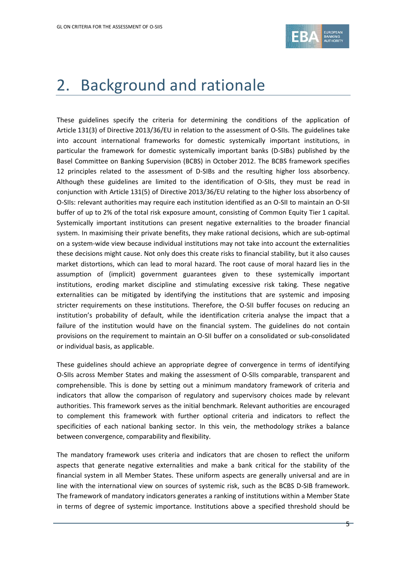

## <span id="page-4-0"></span>2. Background and rationale

These guidelines specify the criteria for determining the conditions of the application of Article 131(3) of Directive 2013/36/EU in relation to the assessment of O-SIIs. The guidelines take into account international frameworks for domestic systemically important institutions, in particular the framework for domestic systemically important banks (D-SIBs) published by the Basel Committee on Banking Supervision (BCBS) in October 2012. The BCBS framework specifies 12 principles related to the assessment of D-SIBs and the resulting higher loss absorbency. Although these guidelines are limited to the identification of O-SIIs, they must be read in conjunction with Article 131(5) of Directive 2013/36/EU relating to the higher loss absorbency of O-SIIs: relevant authorities may require each institution identified as an O-SII to maintain an O-SII buffer of up to 2% of the total risk exposure amount, consisting of Common Equity Tier 1 capital. Systemically important institutions can present negative externalities to the broader financial system. In maximising their private benefits, they make rational decisions, which are sub-optimal on a system-wide view because individual institutions may not take into account the externalities these decisions might cause. Not only does this create risks to financial stability, but it also causes market distortions, which can lead to moral hazard. The root cause of moral hazard lies in the assumption of (implicit) government guarantees given to these systemically important institutions, eroding market discipline and stimulating excessive risk taking. These negative externalities can be mitigated by identifying the institutions that are systemic and imposing stricter requirements on these institutions. Therefore, the O-SII buffer focuses on reducing an institution's probability of default, while the identification criteria analyse the impact that a failure of the institution would have on the financial system. The guidelines do not contain provisions on the requirement to maintain an O-SII buffer on a consolidated or sub-consolidated or individual basis, as applicable.

These guidelines should achieve an appropriate degree of convergence in terms of identifying O-SIIs across Member States and making the assessment of O-SIIs comparable, transparent and comprehensible. This is done by setting out a minimum mandatory framework of criteria and indicators that allow the comparison of regulatory and supervisory choices made by relevant authorities. This framework serves as the initial benchmark. Relevant authorities are encouraged to complement this framework with further optional criteria and indicators to reflect the specificities of each national banking sector. In this vein, the methodology strikes a balance between convergence, comparability and flexibility.

The mandatory framework uses criteria and indicators that are chosen to reflect the uniform aspects that generate negative externalities and make a bank critical for the stability of the financial system in all Member States. These uniform aspects are generally universal and are in line with the international view on sources of systemic risk, such as the BCBS D-SIB framework. The framework of mandatory indicators generates a ranking of institutions within a Member State in terms of degree of systemic importance. Institutions above a specified threshold should be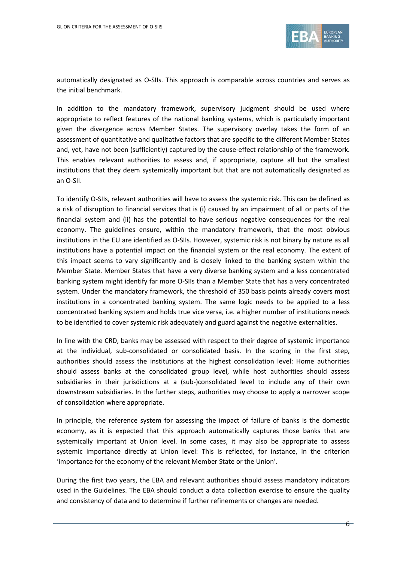

automatically designated as O-SIIs. This approach is comparable across countries and serves as the initial benchmark.

In addition to the mandatory framework, supervisory judgment should be used where appropriate to reflect features of the national banking systems, which is particularly important given the divergence across Member States. The supervisory overlay takes the form of an assessment of quantitative and qualitative factors that are specific to the different Member States and, yet, have not been (sufficiently) captured by the cause-effect relationship of the framework. This enables relevant authorities to assess and, if appropriate, capture all but the smallest institutions that they deem systemically important but that are not automatically designated as an O-SII.

To identify O-SIIs, relevant authorities will have to assess the systemic risk. This can be defined as a risk of disruption to financial services that is (i) caused by an impairment of all or parts of the financial system and (ii) has the potential to have serious negative consequences for the real economy. The guidelines ensure, within the mandatory framework, that the most obvious institutions in the EU are identified as O-SIIs. However, systemic risk is not binary by nature as all institutions have a potential impact on the financial system or the real economy. The extent of this impact seems to vary significantly and is closely linked to the banking system within the Member State. Member States that have a very diverse banking system and a less concentrated banking system might identify far more O-SIIs than a Member State that has a very concentrated system. Under the mandatory framework, the threshold of 350 basis points already covers most institutions in a concentrated banking system. The same logic needs to be applied to a less concentrated banking system and holds true vice versa, i.e. a higher number of institutions needs to be identified to cover systemic risk adequately and guard against the negative externalities.

In line with the CRD, banks may be assessed with respect to their degree of systemic importance at the individual, sub-consolidated or consolidated basis. In the scoring in the first step, authorities should assess the institutions at the highest consolidation level: Home authorities should assess banks at the consolidated group level, while host authorities should assess subsidiaries in their jurisdictions at a (sub-)consolidated level to include any of their own downstream subsidiaries. In the further steps, authorities may choose to apply a narrower scope of consolidation where appropriate.

In principle, the reference system for assessing the impact of failure of banks is the domestic economy, as it is expected that this approach automatically captures those banks that are systemically important at Union level. In some cases, it may also be appropriate to assess systemic importance directly at Union level: This is reflected, for instance, in the criterion 'importance for the economy of the relevant Member State or the Union'.

During the first two years, the EBA and relevant authorities should assess mandatory indicators used in the Guidelines. The EBA should conduct a data collection exercise to ensure the quality and consistency of data and to determine if further refinements or changes are needed.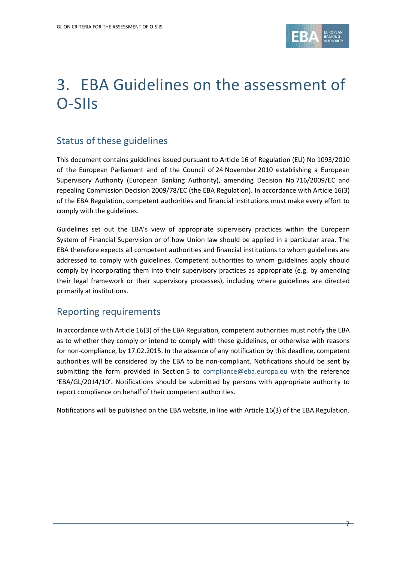

# <span id="page-6-0"></span>3. EBA Guidelines on the assessment of O-SIIs

## Status of these guidelines

This document contains guidelines issued pursuant to Article 16 of Regulation (EU) No 1093/2010 of the European Parliament and of the Council of 24 November 2010 establishing a European Supervisory Authority (European Banking Authority), amending Decision No 716/2009/EC and repealing Commission Decision 2009/78/EC (the EBA Regulation). In accordance with Article 16(3) of the EBA Regulation, competent authorities and financial institutions must make every effort to comply with the guidelines.

Guidelines set out the EBA's view of appropriate supervisory practices within the European System of Financial Supervision or of how Union law should be applied in a particular area. The EBA therefore expects all competent authorities and financial institutions to whom guidelines are addressed to comply with guidelines. Competent authorities to whom guidelines apply should comply by incorporating them into their supervisory practices as appropriate (e.g. by amending their legal framework or their supervisory processes), including where guidelines are directed primarily at institutions.

### Reporting requirements

In accordance with Article 16(3) of the EBA Regulation, competent authorities must notify the EBA as to whether they comply or intend to comply with these guidelines, or otherwise with reasons for non-compliance, by 17.02.2015. In the absence of any notification by this deadline, competent authorities will be considered by the EBA to be non-compliant. Notifications should be sent by submitting the form provided in Section 5 to [compliance@eba.europa.eu](mailto:compliance@eba.europa.eu) with the reference 'EBA/GL/2014/10'. Notifications should be submitted by persons with appropriate authority to report compliance on behalf of their competent authorities.

Notifications will be published on the EBA website, in line with Article 16(3) of the EBA Regulation.

7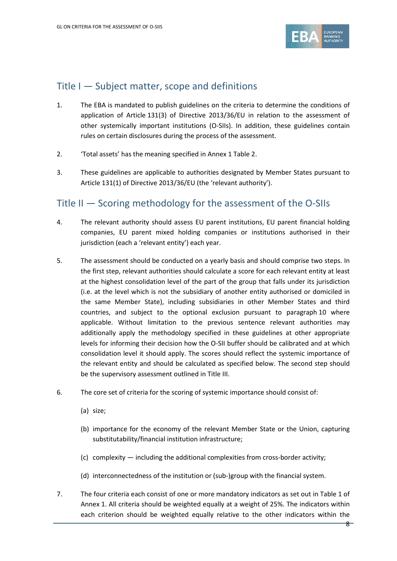

### <span id="page-7-0"></span>Title I — Subject matter, scope and definitions

- 1. The EBA is mandated to publish guidelines on the criteria to determine the conditions of application of Article 131(3) of Directive 2013/36/EU in relation to the assessment of other systemically important institutions (O-SIIs). In addition, these guidelines contain rules on certain disclosures during the process of the assessment.
- 2. 'Total assets' has the meaning specified in Annex 1 Table 2.
- 3. These guidelines are applicable to authorities designated by Member States pursuant to Article 131(1) of Directive 2013/36/EU (the 'relevant authority').

## <span id="page-7-1"></span>Title II — Scoring methodology for the assessment of the O-SIIs

- 4. The relevant authority should assess EU parent institutions, EU parent financial holding companies, EU parent mixed holding companies or institutions authorised in their jurisdiction (each a 'relevant entity') each year.
- 5. The assessment should be conducted on a yearly basis and should comprise two steps. In the first step, relevant authorities should calculate a score for each relevant entity at least at the highest consolidation level of the part of the group that falls under its jurisdiction (i.e. at the level which is not the subsidiary of another entity authorised or domiciled in the same Member State), including subsidiaries in other Member States and third countries, and subject to the optional exclusion pursuant to paragraph 10 where applicable. Without limitation to the previous sentence relevant authorities may additionally apply the methodology specified in these guidelines at other appropriate levels for informing their decision how the O-SII buffer should be calibrated and at which consolidation level it should apply. The scores should reflect the systemic importance of the relevant entity and should be calculated as specified below. The second step should be the supervisory assessment outlined in Title III.
- 6. The core set of criteria for the scoring of systemic importance should consist of:
	- (a) size;
	- (b) importance for the economy of the relevant Member State or the Union, capturing substitutability/financial institution infrastructure;
	- (c) complexity including the additional complexities from cross-border activity;
	- (d) interconnectedness of the institution or (sub-)group with the financial system.
- 7. The four criteria each consist of one or more mandatory indicators as set out in Table 1 of Annex 1. All criteria should be weighted equally at a weight of 25%. The indicators within each criterion should be weighted equally relative to the other indicators within the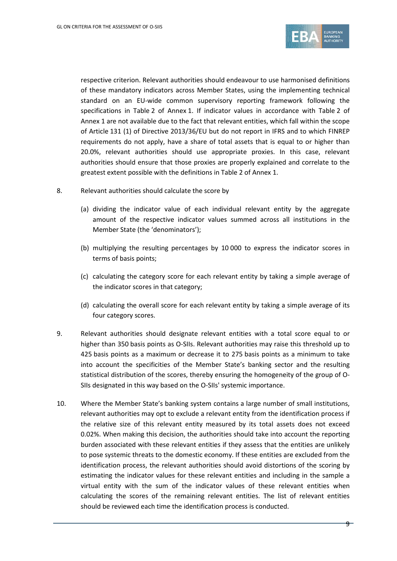

respective criterion. Relevant authorities should endeavour to use harmonised definitions of these mandatory indicators across Member States, using the implementing technical standard on an EU-wide common supervisory reporting framework following the specifications in Table 2 of Annex 1. If indicator values in accordance with Table 2 of Annex 1 are not available due to the fact that relevant entities, which fall within the scope of Article 131 (1) of Directive 2013/36/EU but do not report in IFRS and to which FINREP requirements do not apply, have a share of total assets that is equal to or higher than 20.0%, relevant authorities should use appropriate proxies. In this case, relevant authorities should ensure that those proxies are properly explained and correlate to the greatest extent possible with the definitions in Table 2 of Annex 1.

- 8. Relevant authorities should calculate the score by
	- (a) dividing the indicator value of each individual relevant entity by the aggregate amount of the respective indicator values summed across all institutions in the Member State (the 'denominators');
	- (b) multiplying the resulting percentages by 10 000 to express the indicator scores in terms of basis points;
	- (c) calculating the category score for each relevant entity by taking a simple average of the indicator scores in that category;
	- (d) calculating the overall score for each relevant entity by taking a simple average of its four category scores.
- <span id="page-8-0"></span>9. Relevant authorities should designate relevant entities with a total score equal to or higher than 350 basis points as O-SIIs. Relevant authorities may raise this threshold up to 425 basis points as a maximum or decrease it to 275 basis points as a minimum to take into account the specificities of the Member State's banking sector and the resulting statistical distribution of the scores, thereby ensuring the homogeneity of the group of O-SIIs designated in this way based on the O-SIIs' systemic importance.
- <span id="page-8-1"></span>10. Where the Member State's banking system contains a large number of small institutions, relevant authorities may opt to exclude a relevant entity from the identification process if the relative size of this relevant entity measured by its total assets does not exceed 0.02%. When making this decision, the authorities should take into account the reporting burden associated with these relevant entities if they assess that the entities are unlikely to pose systemic threats to the domestic economy. If these entities are excluded from the identification process, the relevant authorities should avoid distortions of the scoring by estimating the indicator values for these relevant entities and including in the sample a virtual entity with the sum of the indicator values of these relevant entities when calculating the scores of the remaining relevant entities. The list of relevant entities should be reviewed each time the identification process is conducted.

 $\Theta$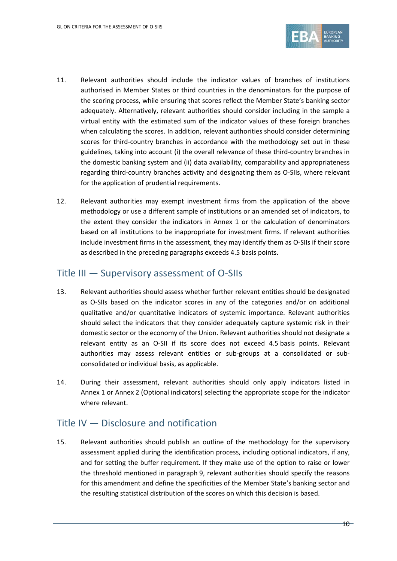

- 11. Relevant authorities should include the indicator values of branches of institutions authorised in Member States or third countries in the denominators for the purpose of the scoring process, while ensuring that scores reflect the Member State's banking sector adequately. Alternatively, relevant authorities should consider including in the sample a virtual entity with the estimated sum of the indicator values of these foreign branches when calculating the scores. In addition, relevant authorities should consider determining scores for third-country branches in accordance with the methodology set out in these guidelines, taking into account (i) the overall relevance of these third-country branches in the domestic banking system and (ii) data availability, comparability and appropriateness regarding third-country branches activity and designating them as O-SIIs, where relevant for the application of prudential requirements.
- 12. Relevant authorities may exempt investment firms from the application of the above methodology or use a different sample of institutions or an amended set of indicators, to the extent they consider the indicators in Annex 1 or the calculation of denominators based on all institutions to be inappropriate for investment firms. If relevant authorities include investment firms in the assessment, they may identify them as O-SIIs if their score as described in the preceding paragraphs exceeds 4.5 basis points.

### <span id="page-9-0"></span>Title III — Supervisory assessment of O-SIIs

- 13. Relevant authorities should assess whether further relevant entities should be designated as O-SIIs based on the indicator scores in any of the categories and/or on additional qualitative and/or quantitative indicators of systemic importance. Relevant authorities should select the indicators that they consider adequately capture systemic risk in their domestic sector or the economy of the Union. Relevant authorities should not designate a relevant entity as an O-SII if its score does not exceed 4.5 basis points. Relevant authorities may assess relevant entities or sub-groups at a consolidated or subconsolidated or individual basis, as applicable.
- 14. During their assessment, relevant authorities should only apply indicators listed in Annex 1 or Annex 2 (Optional indicators) selecting the appropriate scope for the indicator where relevant.

## <span id="page-9-1"></span>Title IV — Disclosure and notification

15. Relevant authorities should publish an outline of the methodology for the supervisory assessment applied during the identification process, including optional indicators, if any, and for setting the buffer requirement. If they make use of the option to raise or lower the threshold mentioned in paragraph [9,](#page-8-0) relevant authorities should specify the reasons for this amendment and define the specificities of the Member State's banking sector and the resulting statistical distribution of the scores on which this decision is based.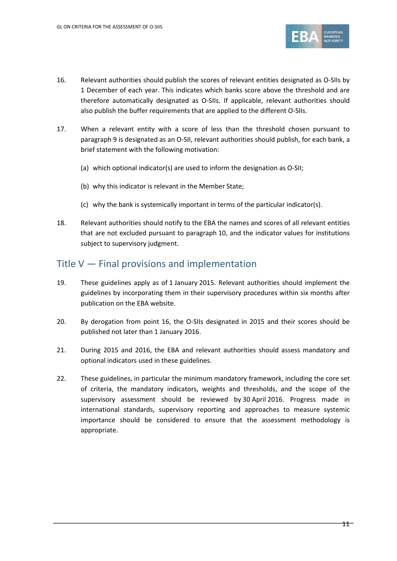

- 16. Relevant authorities should publish the scores of relevant entities designated as O-SIIs by 1 December of each year. This indicates which banks score above the threshold and are therefore automatically designated as O-SIIs. If applicable, relevant authorities should also publish the buffer requirements that are applied to the different O-SIIs.
- 17. When a relevant entity with a score of less than the threshold chosen pursuant to paragraph [9](#page-8-0) is designated as an O-SII, relevant authorities should publish, for each bank, a brief statement with the following motivation:
	- (a) which optional indicator(s) are used to inform the designation as O-SII;
	- (b) why this indicator is relevant in the Member State;
	- (c) why the bank is systemically important in terms of the particular indicator(s).
- 18. Relevant authorities should notify to the EBA the names and scores of all relevant entities that are not excluded pursuant to paragraph [10,](#page-8-1) and the indicator values for institutions subject to supervisory judgment.

### <span id="page-10-0"></span>Title V — Final provisions and implementation

- 19. These guidelines apply as of 1 January 2015. Relevant authorities should implement the guidelines by incorporating them in their supervisory procedures within six months after publication on the EBA website.
- 20. By derogation from point 16, the O-SIIs designated in 2015 and their scores should be published not later than 1 January 2016.
- 21. During 2015 and 2016, the EBA and relevant authorities should assess mandatory and optional indicators used in these guidelines.
- 22. These guidelines, in particular the minimum mandatory framework, including the core set of criteria, the mandatory indicators, weights and thresholds, and the scope of the supervisory assessment should be reviewed by 30 April 2016. Progress made in international standards, supervisory reporting and approaches to measure systemic importance should be considered to ensure that the assessment methodology is appropriate.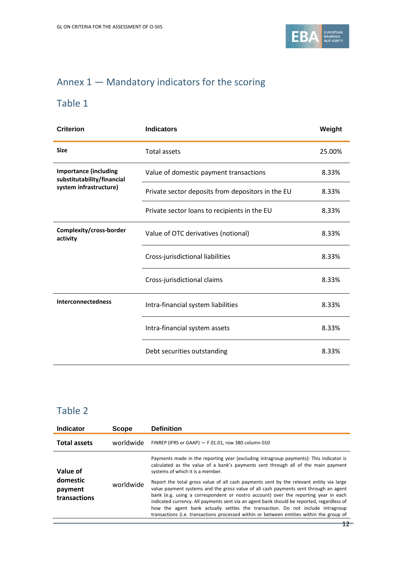

## <span id="page-11-0"></span>Annex 1 — Mandatory indicators for the scoring

## Table 1

| <b>Criterion</b>                                           | <b>Indicators</b>                                 | Weight |
|------------------------------------------------------------|---------------------------------------------------|--------|
| <b>Size</b>                                                | <b>Total assets</b>                               | 25.00% |
| <b>Importance (including</b><br>substitutability/financial | Value of domestic payment transactions            | 8.33%  |
| system infrastructure)                                     | Private sector deposits from depositors in the EU | 8.33%  |
|                                                            | Private sector loans to recipients in the EU      | 8.33%  |
| Complexity/cross-border<br>activity                        | Value of OTC derivatives (notional)               | 8.33%  |
|                                                            | Cross-jurisdictional liabilities                  | 8.33%  |
|                                                            | Cross-jurisdictional claims                       | 8.33%  |
| <b>Interconnectedness</b>                                  | Intra-financial system liabilities                | 8.33%  |
|                                                            | Intra-financial system assets                     | 8.33%  |
|                                                            | Debt securities outstanding                       | 8.33%  |

## Table 2

| <b>Indicator</b><br><b>Definition</b><br><b>Scope</b> |           |                                                                                                                                                                                                                                                                                                                                                                                                                                                                                                                                                   |
|-------------------------------------------------------|-----------|---------------------------------------------------------------------------------------------------------------------------------------------------------------------------------------------------------------------------------------------------------------------------------------------------------------------------------------------------------------------------------------------------------------------------------------------------------------------------------------------------------------------------------------------------|
| <b>Total assets</b>                                   | worldwide | FINREP (IFRS or GAAP) - F 01.01, row 380 column 010                                                                                                                                                                                                                                                                                                                                                                                                                                                                                               |
| Value of                                              |           | Payments made in the reporting year (excluding intragroup payments): This indicator is<br>calculated as the value of a bank's payments sent through all of the main payment<br>systems of which it is a member.                                                                                                                                                                                                                                                                                                                                   |
| domestic<br>payment<br>transactions                   | worldwide | Report the total gross value of all cash payments sent by the relevant entity via large<br>value payment systems and the gross value of all cash payments sent through an agent<br>bank (e.g. using a correspondent or nostro account) over the reporting year in each<br>indicated currency. All payments sent via an agent bank should be reported, regardless of<br>how the agent bank actually settles the transaction. Do not include intragroup<br>transactions (i.e. transactions processed within or between entities within the group of |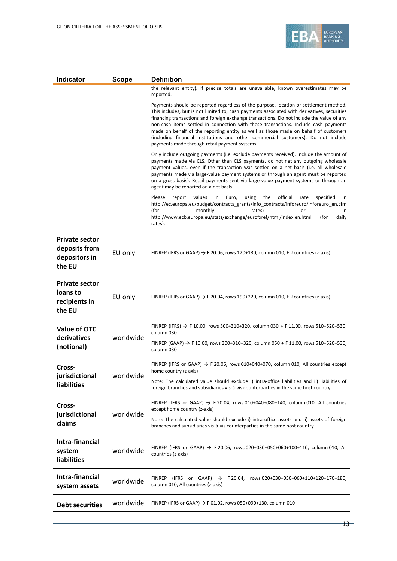

| <b>Indicator</b><br><b>Scope</b>                                  |           | <b>Definition</b>                                                                                                                                                                                                                                                                                                                                                                                                                                                                                                                                                                                     |  |
|-------------------------------------------------------------------|-----------|-------------------------------------------------------------------------------------------------------------------------------------------------------------------------------------------------------------------------------------------------------------------------------------------------------------------------------------------------------------------------------------------------------------------------------------------------------------------------------------------------------------------------------------------------------------------------------------------------------|--|
|                                                                   |           | the relevant entity). If precise totals are unavailable, known overestimates may be<br>reported.                                                                                                                                                                                                                                                                                                                                                                                                                                                                                                      |  |
|                                                                   |           | Payments should be reported regardless of the purpose, location or settlement method.<br>This includes, but is not limited to, cash payments associated with derivatives, securities<br>financing transactions and foreign exchange transactions. Do not include the value of any<br>non-cash items settled in connection with these transactions. Include cash payments<br>made on behalf of the reporting entity as well as those made on behalf of customers<br>(including financial institutions and other commercial customers). Do not include<br>payments made through retail payment systems. |  |
|                                                                   |           | Only include outgoing payments (i.e. exclude payments received). Include the amount of<br>payments made via CLS. Other than CLS payments, do not net any outgoing wholesale<br>payment values, even if the transaction was settled on a net basis (i.e. all wholesale<br>payments made via large-value payment systems or through an agent must be reported<br>on a gross basis). Retail payments sent via large-value payment systems or through an<br>agent may be reported on a net basis.                                                                                                         |  |
|                                                                   |           | official<br>Please<br>values<br>the<br>specified<br>report<br>in<br>Euro,<br>using<br>rate<br>in.<br>http://ec.europa.eu/budget/contracts_grants/info_contracts/inforeuro/inforeuro_en.cfm<br>(for<br>monthly<br>rates)<br>or<br>in.<br>http://www.ecb.europa.eu/stats/exchange/eurofxref/html/index.en.html<br>daily<br>(for<br>rates).                                                                                                                                                                                                                                                              |  |
| <b>Private sector</b><br>deposits from<br>depositors in<br>the EU | EU only   | FINREP (IFRS or GAAP) $\rightarrow$ F 20.06, rows 120+130, column 010, EU countries (z-axis)                                                                                                                                                                                                                                                                                                                                                                                                                                                                                                          |  |
| <b>Private sector</b><br>loans to<br>recipients in<br>the EU      | EU only   | FINREP (IFRS or GAAP) $\rightarrow$ F 20.04, rows 190+220, column 010, EU countries (z-axis)                                                                                                                                                                                                                                                                                                                                                                                                                                                                                                          |  |
| <b>Value of OTC</b><br>derivatives                                | worldwide | FINREP (IFRS) $\rightarrow$ F 10.00, rows 300+310+320, column 030 + F 11.00, rows 510+520+530,<br>column 030                                                                                                                                                                                                                                                                                                                                                                                                                                                                                          |  |
| (notional)                                                        |           | FINREP (GAAP) $\rightarrow$ F 10.00, rows 300+310+320, column 050 + F 11.00, rows 510+520+530,<br>column 030                                                                                                                                                                                                                                                                                                                                                                                                                                                                                          |  |
| Cross-                                                            | worldwide | FINREP (IFRS or GAAP) $\rightarrow$ F 20.06, rows 010+040+070, column 010, All countries except<br>home country (z-axis)                                                                                                                                                                                                                                                                                                                                                                                                                                                                              |  |
| jurisdictional<br>liabilities                                     |           | Note: The calculated value should exclude i) intra-office liabilities and ii) liabilities of<br>foreign branches and subsidiaries vis-à-vis counterparties in the same host country                                                                                                                                                                                                                                                                                                                                                                                                                   |  |
| Cross-                                                            | worldwide | FINREP (IFRS or GAAP) $\rightarrow$ F 20.04, rows 010+040+080+140, column 010, All countries<br>except home country (z-axis)                                                                                                                                                                                                                                                                                                                                                                                                                                                                          |  |
| jurisdictional<br>claims                                          |           | Note: The calculated value should exclude i) intra-office assets and ii) assets of foreign<br>branches and subsidiaries vis-à-vis counterparties in the same host country                                                                                                                                                                                                                                                                                                                                                                                                                             |  |
| Intra-financial<br>system<br><b>liabilities</b>                   | worldwide | FINREP (IFRS or GAAP) $\rightarrow$ F 20.06, rows 020+030+050+060+100+110, column 010, All<br>countries (z-axis)                                                                                                                                                                                                                                                                                                                                                                                                                                                                                      |  |
| Intra-financial<br>system assets                                  | worldwide | FINREP (IFRS or GAAP) $\rightarrow$<br>F 20.04, rows 020+030+050+060+110+120+170+180,<br>column 010, All countries (z-axis)                                                                                                                                                                                                                                                                                                                                                                                                                                                                           |  |
| <b>Debt securities</b>                                            | worldwide | FINREP (IFRS or GAAP) $\rightarrow$ F 01.02, rows 050+090+130, column 010                                                                                                                                                                                                                                                                                                                                                                                                                                                                                                                             |  |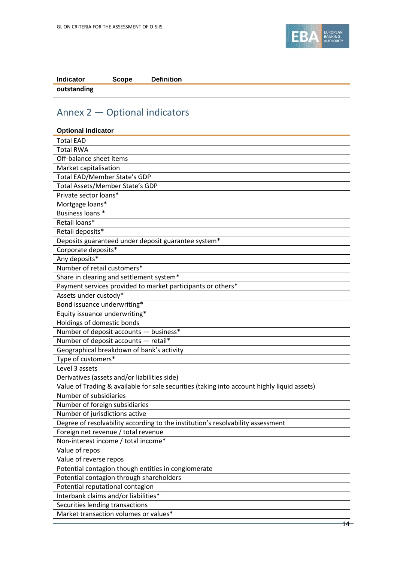

| <b>Indicator</b> | Scope | <b>Definition</b> |
|------------------|-------|-------------------|
| outstanding      |       |                   |

## <span id="page-13-0"></span>Annex 2 — Optional indicators

| <b>Optional indicator</b>                                                                   |
|---------------------------------------------------------------------------------------------|
| <b>Total EAD</b>                                                                            |
| <b>Total RWA</b>                                                                            |
| Off-balance sheet items                                                                     |
| Market capitalisation                                                                       |
| Total EAD/Member State's GDP                                                                |
| Total Assets/Member State's GDP                                                             |
| Private sector loans*                                                                       |
| Mortgage loans*                                                                             |
| Business loans *                                                                            |
| Retail loans*                                                                               |
| Retail deposits*                                                                            |
| Deposits guaranteed under deposit guarantee system*                                         |
| Corporate deposits*                                                                         |
| Any deposits*                                                                               |
| Number of retail customers*                                                                 |
| Share in clearing and settlement system*                                                    |
| Payment services provided to market participants or others*                                 |
| Assets under custody*                                                                       |
| Bond issuance underwriting*                                                                 |
| Equity issuance underwriting*                                                               |
| Holdings of domestic bonds                                                                  |
| Number of deposit accounts - business*                                                      |
| Number of deposit accounts - retail*                                                        |
| Geographical breakdown of bank's activity                                                   |
| Type of customers*                                                                          |
| Level 3 assets                                                                              |
| Derivatives (assets and/or liabilities side)                                                |
| Value of Trading & available for sale securities (taking into account highly liquid assets) |
| Number of subsidiaries                                                                      |
| Number of foreign subsidiaries                                                              |
| Number of jurisdictions active                                                              |
| Degree of resolvability according to the institution's resolvability assessment             |
| Foreign net revenue / total revenue                                                         |
| Non-interest income / total income*                                                         |
| Value of repos                                                                              |
| Value of reverse repos                                                                      |
| Potential contagion though entities in conglomerate                                         |
| Potential contagion through shareholders                                                    |
| Potential reputational contagion                                                            |
| Interbank claims and/or liabilities*                                                        |
| Securities lending transactions                                                             |
| Market transaction volumes or values*                                                       |
|                                                                                             |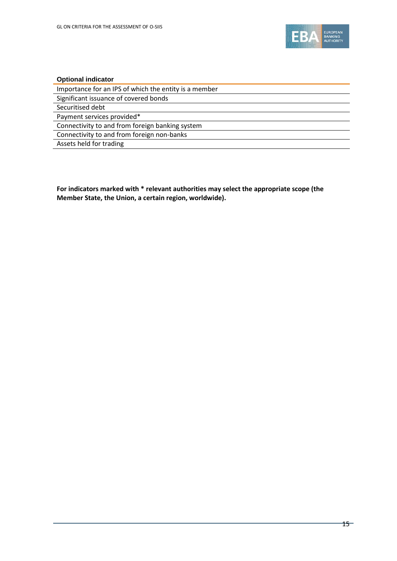

#### **Optional indicator**

| Importance for an IPS of which the entity is a member |
|-------------------------------------------------------|
| Significant issuance of covered bonds                 |
| Securitised debt                                      |
| Payment services provided*                            |
| Connectivity to and from foreign banking system       |
| Connectivity to and from foreign non-banks            |
| Assets held for trading                               |

**For indicators marked with \* relevant authorities may select the appropriate scope (the Member State, the Union, a certain region, worldwide).**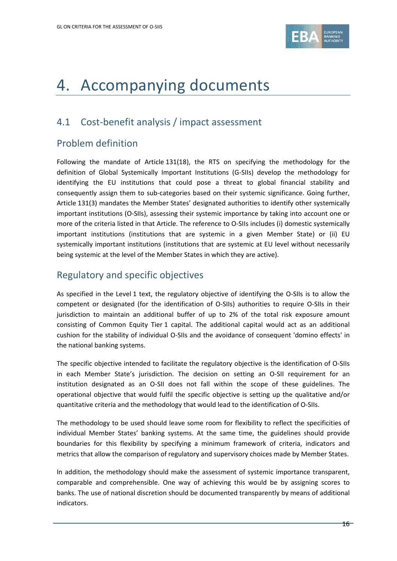

## 4. Accompanying documents

## <span id="page-15-0"></span>4.1 Cost-benefit analysis / impact assessment

## Problem definition

Following the mandate of Article 131(18), the RTS on specifying the methodology for the definition of Global Systemically Important Institutions (G-SIIs) develop the methodology for identifying the EU institutions that could pose a threat to global financial stability and consequently assign them to sub-categories based on their systemic significance. Going further, Article 131(3) mandates the Member States' designated authorities to identify other systemically important institutions (O-SIIs), assessing their systemic importance by taking into account one or more of the criteria listed in that Article. The reference to O-SIIs includes (i) domestic systemically important institutions (institutions that are systemic in a given Member State) or (ii) EU systemically important institutions (institutions that are systemic at EU level without necessarily being systemic at the level of the Member States in which they are active).

## Regulatory and specific objectives

As specified in the Level 1 text, the regulatory objective of identifying the O-SIIs is to allow the competent or designated (for the identification of O-SIIs) authorities to require O-SIIs in their jurisdiction to maintain an additional buffer of up to 2% of the total risk exposure amount consisting of Common Equity Tier 1 capital. The additional capital would act as an additional cushion for the stability of individual O-SIIs and the avoidance of consequent 'domino effects' in the national banking systems.

The specific objective intended to facilitate the regulatory objective is the identification of O-SIIs in each Member State's jurisdiction. The decision on setting an O-SII requirement for an institution designated as an O-SII does not fall within the scope of these guidelines. The operational objective that would fulfil the specific objective is setting up the qualitative and/or quantitative criteria and the methodology that would lead to the identification of O-SIIs.

The methodology to be used should leave some room for flexibility to reflect the specificities of individual Member States' banking systems. At the same time, the guidelines should provide boundaries for this flexibility by specifying a minimum framework of criteria, indicators and metrics that allow the comparison of regulatory and supervisory choices made by Member States.

In addition, the methodology should make the assessment of systemic importance transparent, comparable and comprehensible. One way of achieving this would be by assigning scores to banks. The use of national discretion should be documented transparently by means of additional indicators.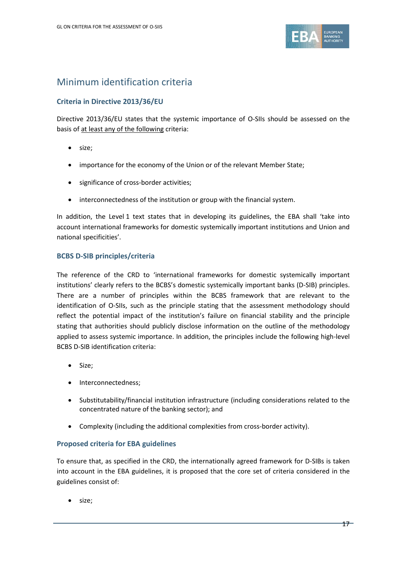

## Minimum identification criteria

#### **Criteria in Directive 2013/36/EU**

Directive 2013/36/EU states that the systemic importance of O-SIIs should be assessed on the basis of at least any of the following criteria:

- size;
- importance for the economy of the Union or of the relevant Member State;
- significance of cross-border activities;
- interconnectedness of the institution or group with the financial system.

In addition, the Level 1 text states that in developing its guidelines, the EBA shall 'take into account international frameworks for domestic systemically important institutions and Union and national specificities'.

#### **BCBS D-SIB principles/criteria**

The reference of the CRD to 'international frameworks for domestic systemically important institutions' clearly refers to the BCBS's domestic systemically important banks (D-SIB) principles. There are a number of principles within the BCBS framework that are relevant to the identification of O-SIIs, such as the principle stating that the assessment methodology should reflect the potential impact of the institution's failure on financial stability and the principle stating that authorities should publicly disclose information on the outline of the methodology applied to assess systemic importance. In addition, the principles include the following high-level BCBS D-SIB identification criteria:

- Size;
- Interconnectedness;
- Substitutability/financial institution infrastructure (including considerations related to the concentrated nature of the banking sector); and
- Complexity (including the additional complexities from cross-border activity).

#### **Proposed criteria for EBA guidelines**

To ensure that, as specified in the CRD, the internationally agreed framework for D-SIBs is taken into account in the EBA guidelines, it is proposed that the core set of criteria considered in the guidelines consist of:

• size;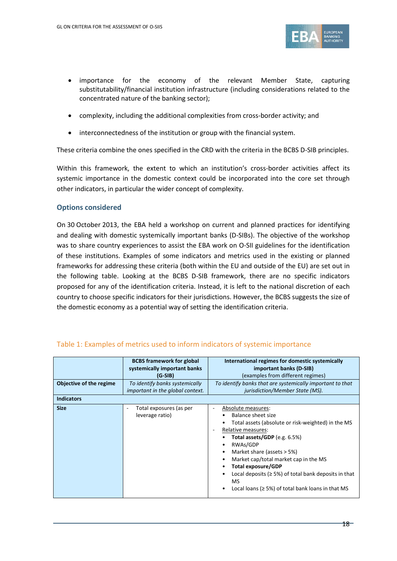

- importance for the economy of the relevant Member State, capturing substitutability/financial institution infrastructure (including considerations related to the concentrated nature of the banking sector);
- complexity, including the additional complexities from cross-border activity; and
- interconnectedness of the institution or group with the financial system.

These criteria combine the ones specified in the CRD with the criteria in the BCBS D-SIB principles.

Within this framework, the extent to which an institution's cross-border activities affect its systemic importance in the domestic context could be incorporated into the core set through other indicators, in particular the wider concept of complexity.

#### **Options considered**

On 30 October 2013, the EBA held a workshop on current and planned practices for identifying and dealing with domestic systemically important banks (D-SIBs). The objective of the workshop was to share country experiences to assist the EBA work on O-SII guidelines for the identification of these institutions. Examples of some indicators and metrics used in the existing or planned frameworks for addressing these criteria (both within the EU and outside of the EU) are set out in the following table. Looking at the BCBS D-SIB framework, there are no specific indicators proposed for any of the identification criteria. Instead, it is left to the national discretion of each country to choose specific indicators for their jurisdictions. However, the BCBS suggests the size of the domestic economy as a potential way of setting the identification criteria.

| Objective of the regime<br><b>Indicators</b> | <b>BCBS</b> framework for global<br>systemically important banks<br>(G-SIB)<br>To identify banks systemically<br>important in the global context. | International regimes for domestic systemically<br>important banks (D-SIB)<br>(examples from different regimes)<br>To identify banks that are systemically important to that<br>jurisdiction/Member State (MS).                                                                                                                                                                                                       |
|----------------------------------------------|---------------------------------------------------------------------------------------------------------------------------------------------------|-----------------------------------------------------------------------------------------------------------------------------------------------------------------------------------------------------------------------------------------------------------------------------------------------------------------------------------------------------------------------------------------------------------------------|
| <b>Size</b>                                  | Total exposures (as per<br>۰<br>leverage ratio)                                                                                                   | Absolute measures:<br>$\overline{a}$<br>Balance sheet size<br>Total assets (absolute or risk-weighted) in the MS<br>Relative measures:<br>٠<br>Total assets/GDP (e.g. 6.5%)<br>RWAs/GDP<br>Market share (assets $>$ 5%)<br>Market cap/total market cap in the MS<br>Total exposure/GDP<br>Local deposits ( $\geq$ 5%) of total bank deposits in that<br>MS<br>Local loans ( $\geq$ 5%) of total bank loans in that MS |

#### Table 1: Examples of metrics used to inform indicators of systemic importance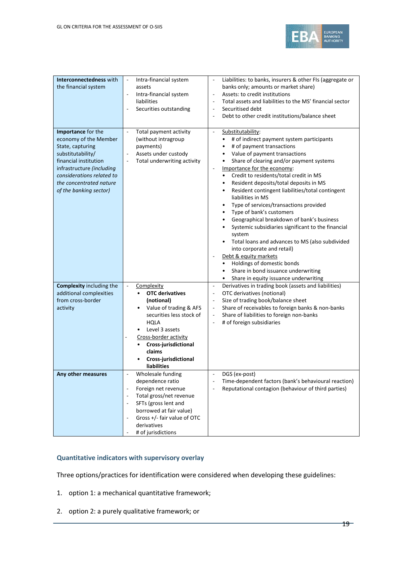

| Interconnectedness with<br>the financial system                                                                                                                                                                              | Intra-financial system<br>$\overline{\phantom{a}}$<br>assets<br>Intra-financial system<br>$\overline{\phantom{a}}$<br>liabilities<br>Securities outstanding                                                                                                    | Liabilities: to banks, insurers & other FIs (aggregate or<br>banks only; amounts or market share)<br>Assets: to credit institutions<br>$\overline{\phantom{a}}$<br>Total assets and liabilities to the MS' financial sector<br>Securitised debt<br>Debt to other credit institutions/balance sheet                                                                                                                                                                                                                                                                                                                                                                                                                                                                                                                                                                                                     |
|------------------------------------------------------------------------------------------------------------------------------------------------------------------------------------------------------------------------------|----------------------------------------------------------------------------------------------------------------------------------------------------------------------------------------------------------------------------------------------------------------|--------------------------------------------------------------------------------------------------------------------------------------------------------------------------------------------------------------------------------------------------------------------------------------------------------------------------------------------------------------------------------------------------------------------------------------------------------------------------------------------------------------------------------------------------------------------------------------------------------------------------------------------------------------------------------------------------------------------------------------------------------------------------------------------------------------------------------------------------------------------------------------------------------|
| Importance for the<br>economy of the Member<br>State, capturing<br>substitutability/<br>financial institution<br>infrastructure (including<br>considerations related to<br>the concentrated nature<br>of the banking sector) | Total payment activity<br>$\overline{\phantom{a}}$<br>(without intragroup<br>payments)<br>Assets under custody<br>$\overline{\phantom{a}}$<br>Total underwriting activity<br>$\overline{\phantom{a}}$                                                          | Substitutability:<br>$\overline{\phantom{a}}$<br># of indirect payment system participants<br>$\bullet$<br># of payment transactions<br>Value of payment transactions<br>$\bullet$<br>Share of clearing and/or payment systems<br>$\bullet$<br>Importance for the economy:<br>Credit to residents/total credit in MS<br>Resident deposits/total deposits in MS<br>$\bullet$<br>Resident contingent liabilities/total contingent<br>liabilities in MS<br>Type of services/transactions provided<br>Type of bank's customers<br>Geographical breakdown of bank's business<br>$\bullet$<br>Systemic subsidiaries significant to the financial<br>system<br>Total loans and advances to MS (also subdivided<br>into corporate and retail)<br>Debt & equity markets<br>Holdings of domestic bonds<br>$\bullet$<br>Share in bond issuance underwriting<br>$\bullet$<br>Share in equity issuance underwriting |
| <b>Complexity including the</b><br>additional complexities<br>from cross-border<br>activity                                                                                                                                  | ÷,<br>Complexity<br><b>OTC derivatives</b><br>(notional)<br>Value of trading & AFS<br>$\bullet$<br>securities less stock of<br>HQLA<br>Level 3 assets<br>Cross-border activity<br>Cross-jurisdictional<br>claims<br>Cross-jurisdictional<br><b>liabilities</b> | Derivatives in trading book (assets and liabilities)<br>$\overline{\phantom{a}}$<br>OTC derivatives (notional)<br>Size of trading book/balance sheet<br>Share of receivables to foreign banks & non-banks<br>Share of liabilities to foreign non-banks<br>$\overline{\phantom{a}}$<br># of foreign subsidiaries                                                                                                                                                                                                                                                                                                                                                                                                                                                                                                                                                                                        |
| Any other measures                                                                                                                                                                                                           | Wholesale funding<br>dependence ratio<br>Foreign net revenue<br>Total gross/net revenue<br>SFTs (gross lent and<br>borrowed at fair value)<br>Gross +/- fair value of OTC<br>derivatives<br># of jurisdictions                                                 | DGS (ex-post)<br>Time-dependent factors (bank's behavioural reaction)<br>Reputational contagion (behaviour of third parties)                                                                                                                                                                                                                                                                                                                                                                                                                                                                                                                                                                                                                                                                                                                                                                           |

#### **Quantitative indicators with supervisory overlay**

Three options/practices for identification were considered when developing these guidelines:

- 1. option 1: a mechanical quantitative framework;
- 2. option 2: a purely qualitative framework; or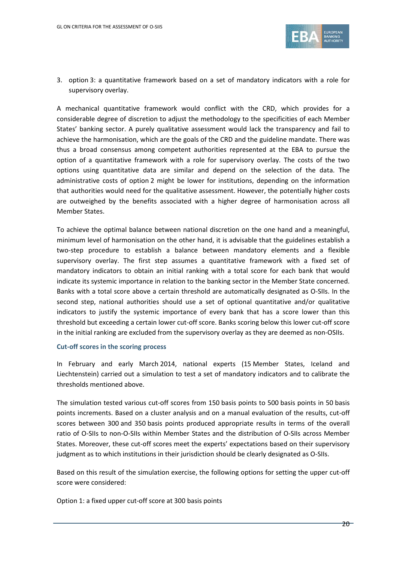

3. option 3: a quantitative framework based on a set of mandatory indicators with a role for supervisory overlay.

A mechanical quantitative framework would conflict with the CRD, which provides for a considerable degree of discretion to adjust the methodology to the specificities of each Member States' banking sector. A purely qualitative assessment would lack the transparency and fail to achieve the harmonisation, which are the goals of the CRD and the guideline mandate. There was thus a broad consensus among competent authorities represented at the EBA to pursue the option of a quantitative framework with a role for supervisory overlay. The costs of the two options using quantitative data are similar and depend on the selection of the data. The administrative costs of option 2 might be lower for institutions, depending on the information that authorities would need for the qualitative assessment. However, the potentially higher costs are outweighed by the benefits associated with a higher degree of harmonisation across all Member States.

To achieve the optimal balance between national discretion on the one hand and a meaningful, minimum level of harmonisation on the other hand, it is advisable that the guidelines establish a two-step procedure to establish a balance between mandatory elements and a flexible supervisory overlay. The first step assumes a quantitative framework with a fixed set of mandatory indicators to obtain an initial ranking with a total score for each bank that would indicate its systemic importance in relation to the banking sector in the Member State concerned. Banks with a total score above a certain threshold are automatically designated as O-SIIs. In the second step, national authorities should use a set of optional quantitative and/or qualitative indicators to justify the systemic importance of every bank that has a score lower than this threshold but exceeding a certain lower cut-off score. Banks scoring below this lower cut-off score in the initial ranking are excluded from the supervisory overlay as they are deemed as non-OSIIs.

#### **Cut-off scores in the scoring process**

In February and early March 2014, national experts (15 Member States, Iceland and Liechtenstein) carried out a simulation to test a set of mandatory indicators and to calibrate the thresholds mentioned above.

The simulation tested various cut-off scores from 150 basis points to 500 basis points in 50 basis points increments. Based on a cluster analysis and on a manual evaluation of the results, cut-off scores between 300 and 350 basis points produced appropriate results in terms of the overall ratio of O-SIIs to non-O-SIIs within Member States and the distribution of O-SIIs across Member States. Moreover, these cut-off scores meet the experts' expectations based on their supervisory judgment as to which institutions in their jurisdiction should be clearly designated as O-SIIs.

Based on this result of the simulation exercise, the following options for setting the upper cut-off score were considered:

Option 1: a fixed upper cut-off score at 300 basis points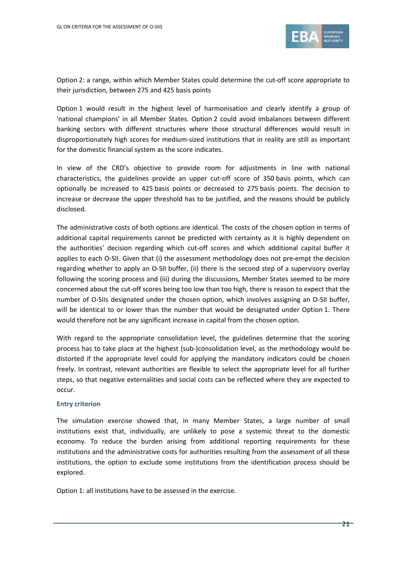

Option 2: a range, within which Member States could determine the cut-off score appropriate to their jurisdiction, between 275 and 425 basis points

Option 1 would result in the highest level of harmonisation and clearly identify a group of 'national champions' in all Member States. Option 2 could avoid imbalances between different banking sectors with different structures where those structural differences would result in disproportionately high scores for medium-sized institutions that in reality are still as important for the domestic financial system as the score indicates.

In view of the CRD's objective to provide room for adjustments in line with national characteristics, the guidelines provide an upper cut-off score of 350 basis points, which can optionally be increased to 425 basis points or decreased to 275 basis points. The decision to increase or decrease the upper threshold has to be justified, and the reasons should be publicly disclosed.

The administrative costs of both options are identical. The costs of the chosen option in terms of additional capital requirements cannot be predicted with certainty as it is highly dependent on the authorities' decision regarding which cut-off scores and which additional capital buffer it applies to each O-SII. Given that (i) the assessment methodology does not pre-empt the decision regarding whether to apply an O-SII buffer, (ii) there is the second step of a supervisory overlay following the scoring process and (iii) during the discussions, Member States seemed to be more concerned about the cut-off scores being too low than too high, there is reason to expect that the number of O-SIIs designated under the chosen option, which involves assigning an O-SII buffer, will be identical to or lower than the number that would be designated under Option 1. There would therefore not be any significant increase in capital from the chosen option.

With regard to the appropriate consolidation level, the guidelines determine that the scoring process has to take place at the highest (sub-)consolidation level, as the methodology would be distorted if the appropriate level could for applying the mandatory indicators could be chosen freely. In contrast, relevant authorities are flexible to select the appropriate level for all further steps, so that negative externalities and social costs can be reflected where they are expected to occur.

#### **Entry criterion**

The simulation exercise showed that, in many Member States, a large number of small institutions exist that, individually, are unlikely to pose a systemic threat to the domestic economy. To reduce the burden arising from additional reporting requirements for these institutions and the administrative costs for authorities resulting from the assessment of all these institutions, the option to exclude some institutions from the identification process should be explored.

Option 1: all institutions have to be assessed in the exercise.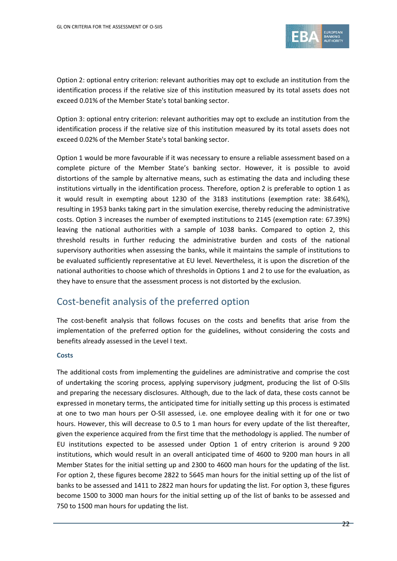

Option 2: optional entry criterion: relevant authorities may opt to exclude an institution from the identification process if the relative size of this institution measured by its total assets does not exceed 0.01% of the Member State's total banking sector.

Option 3: optional entry criterion: relevant authorities may opt to exclude an institution from the identification process if the relative size of this institution measured by its total assets does not exceed 0.02% of the Member State's total banking sector.

Option 1 would be more favourable if it was necessary to ensure a reliable assessment based on a complete picture of the Member State's banking sector. However, it is possible to avoid distortions of the sample by alternative means, such as estimating the data and including these institutions virtually in the identification process. Therefore, option 2 is preferable to option 1 as it would result in exempting about 1230 of the 3183 institutions (exemption rate: 38.64%), resulting in 1953 banks taking part in the simulation exercise, thereby reducing the administrative costs. Option 3 increases the number of exempted institutions to 2145 (exemption rate: 67.39%) leaving the national authorities with a sample of 1038 banks. Compared to option 2, this threshold results in further reducing the administrative burden and costs of the national supervisory authorities when assessing the banks, while it maintains the sample of institutions to be evaluated sufficiently representative at EU level. Nevertheless, it is upon the discretion of the national authorities to choose which of thresholds in Options 1 and 2 to use for the evaluation, as they have to ensure that the assessment process is not distorted by the exclusion.

## Cost-benefit analysis of the preferred option

The cost-benefit analysis that follows focuses on the costs and benefits that arise from the implementation of the preferred option for the guidelines, without considering the costs and benefits already assessed in the Level I text.

#### **Costs**

The additional costs from implementing the guidelines are administrative and comprise the cost of undertaking the scoring process, applying supervisory judgment, producing the list of O-SIIs and preparing the necessary disclosures. Although, due to the lack of data, these costs cannot be expressed in monetary terms, the anticipated time for initially setting up this process is estimated at one to two man hours per O-SII assessed, i.e. one employee dealing with it for one or two hours. However, this will decrease to 0.5 to 1 man hours for every update of the list thereafter, given the experience acquired from the first time that the methodology is applied. The number of EU institutions expected to be assessed under Option 1 of entry criterion is around 9 200 institutions, which would result in an overall anticipated time of 4600 to 9200 man hours in all Member States for the initial setting up and 2300 to 4600 man hours for the updating of the list. For option 2, these figures become 2822 to 5645 man hours for the initial setting up of the list of banks to be assessed and 1411 to 2822 man hours for updating the list. For option 3, these figures become 1500 to 3000 man hours for the initial setting up of the list of banks to be assessed and 750 to 1500 man hours for updating the list.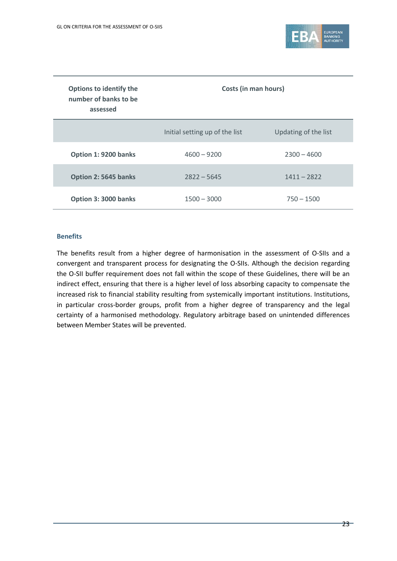

| Options to identify the<br>number of banks to be<br>assessed | <b>Costs (in man hours)</b>    |                      |
|--------------------------------------------------------------|--------------------------------|----------------------|
|                                                              | Initial setting up of the list | Updating of the list |
| Option 1: 9200 banks                                         | $4600 - 9200$                  | $2300 - 4600$        |
| Option 2: 5645 banks                                         | $2822 - 5645$                  | $1411 - 2822$        |
| Option 3: 3000 banks                                         | $1500 - 3000$                  | $750 - 1500$         |

#### **Benefits**

The benefits result from a higher degree of harmonisation in the assessment of O-SIIs and a convergent and transparent process for designating the O-SIIs. Although the decision regarding the O-SII buffer requirement does not fall within the scope of these Guidelines, there will be an indirect effect, ensuring that there is a higher level of loss absorbing capacity to compensate the increased risk to financial stability resulting from systemically important institutions. Institutions, in particular cross-border groups, profit from a higher degree of transparency and the legal certainty of a harmonised methodology. Regulatory arbitrage based on unintended differences between Member States will be prevented.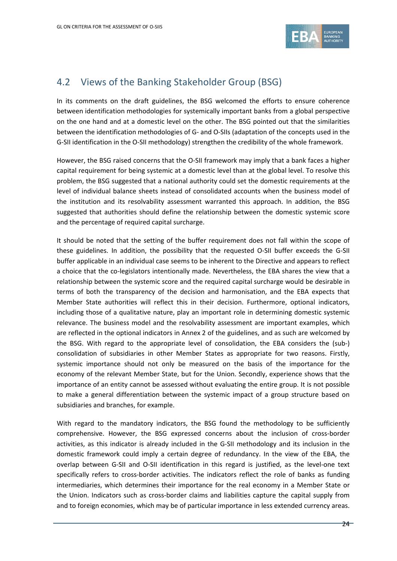

### <span id="page-23-0"></span>4.2 Views of the Banking Stakeholder Group (BSG)

In its comments on the draft guidelines, the BSG welcomed the efforts to ensure coherence between identification methodologies for systemically important banks from a global perspective on the one hand and at a domestic level on the other. The BSG pointed out that the similarities between the identification methodologies of G- and O-SIIs (adaptation of the concepts used in the G-SII identification in the O-SII methodology) strengthen the credibility of the whole framework.

However, the BSG raised concerns that the O-SII framework may imply that a bank faces a higher capital requirement for being systemic at a domestic level than at the global level. To resolve this problem, the BSG suggested that a national authority could set the domestic requirements at the level of individual balance sheets instead of consolidated accounts when the business model of the institution and its resolvability assessment warranted this approach. In addition, the BSG suggested that authorities should define the relationship between the domestic systemic score and the percentage of required capital surcharge.

It should be noted that the setting of the buffer requirement does not fall within the scope of these guidelines. In addition, the possibility that the requested O-SII buffer exceeds the G-SII buffer applicable in an individual case seems to be inherent to the Directive and appears to reflect a choice that the co-legislators intentionally made. Nevertheless, the EBA shares the view that a relationship between the systemic score and the required capital surcharge would be desirable in terms of both the transparency of the decision and harmonisation, and the EBA expects that Member State authorities will reflect this in their decision. Furthermore, optional indicators, including those of a qualitative nature, play an important role in determining domestic systemic relevance. The business model and the resolvability assessment are important examples, which are reflected in the optional indicators in Annex 2 of the guidelines, and as such are welcomed by the BSG. With regard to the appropriate level of consolidation, the EBA considers the (sub-) consolidation of subsidiaries in other Member States as appropriate for two reasons. Firstly, systemic importance should not only be measured on the basis of the importance for the economy of the relevant Member State, but for the Union. Secondly, experience shows that the importance of an entity cannot be assessed without evaluating the entire group. It is not possible to make a general differentiation between the systemic impact of a group structure based on subsidiaries and branches, for example.

With regard to the mandatory indicators, the BSG found the methodology to be sufficiently comprehensive. However, the BSG expressed concerns about the inclusion of cross-border activities, as this indicator is already included in the G-SII methodology and its inclusion in the domestic framework could imply a certain degree of redundancy. In the view of the EBA, the overlap between G-SII and O-SII identification in this regard is justified, as the level-one text specifically refers to cross-border activities. The indicators reflect the role of banks as funding intermediaries, which determines their importance for the real economy in a Member State or the Union. Indicators such as cross-border claims and liabilities capture the capital supply from and to foreign economies, which may be of particular importance in less extended currency areas.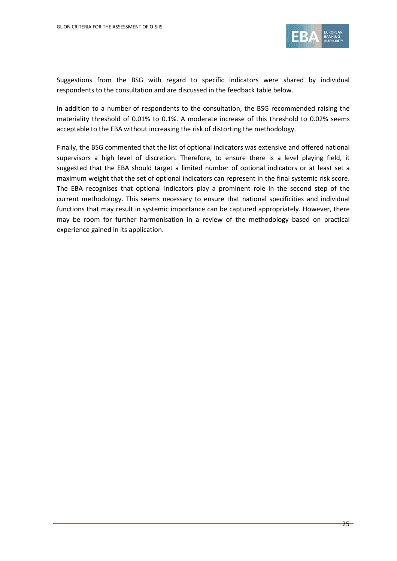

Suggestions from the BSG with regard to specific indicators were shared by individual respondents to the consultation and are discussed in the feedback table below.

In addition to a number of respondents to the consultation, the BSG recommended raising the materiality threshold of 0.01% to 0.1%. A moderate increase of this threshold to 0.02% seems acceptable to the EBA without increasing the risk of distorting the methodology.

Finally, the BSG commented that the list of optional indicators was extensive and offered national supervisors a high level of discretion. Therefore, to ensure there is a level playing field, it suggested that the EBA should target a limited number of optional indicators or at least set a maximum weight that the set of optional indicators can represent in the final systemic risk score. The EBA recognises that optional indicators play a prominent role in the second step of the current methodology. This seems necessary to ensure that national specificities and individual functions that may result in systemic importance can be captured appropriately. However, there may be room for further harmonisation in a review of the methodology based on practical experience gained in its application.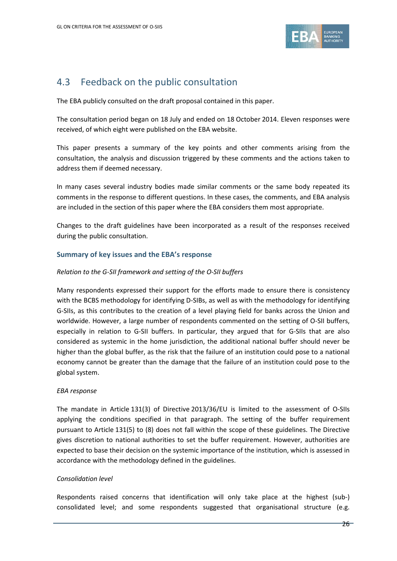

## <span id="page-25-0"></span>4.3 Feedback on the public consultation

The EBA publicly consulted on the draft proposal contained in this paper.

The consultation period began on 18 July and ended on 18 October 2014. Eleven responses were received, of which eight were published on the EBA website.

This paper presents a summary of the key points and other comments arising from the consultation, the analysis and discussion triggered by these comments and the actions taken to address them if deemed necessary.

In many cases several industry bodies made similar comments or the same body repeated its comments in the response to different questions. In these cases, the comments, and EBA analysis are included in the section of this paper where the EBA considers them most appropriate.

Changes to the draft guidelines have been incorporated as a result of the responses received during the public consultation.

#### **Summary of key issues and the EBA's response**

#### *Relation to the G-SII framework and setting of the O-SII buffers*

Many respondents expressed their support for the efforts made to ensure there is consistency with the BCBS methodology for identifying D-SIBs, as well as with the methodology for identifying G-SIIs, as this contributes to the creation of a level playing field for banks across the Union and worldwide. However, a large number of respondents commented on the setting of O-SII buffers, especially in relation to G-SII buffers. In particular, they argued that for G-SIIs that are also considered as systemic in the home jurisdiction, the additional national buffer should never be higher than the global buffer, as the risk that the failure of an institution could pose to a national economy cannot be greater than the damage that the failure of an institution could pose to the global system.

#### *EBA response*

The mandate in Article 131(3) of Directive 2013/36/EU is limited to the assessment of O-SIIs applying the conditions specified in that paragraph. The setting of the buffer requirement pursuant to Article 131(5) to (8) does not fall within the scope of these guidelines. The Directive gives discretion to national authorities to set the buffer requirement. However, authorities are expected to base their decision on the systemic importance of the institution, which is assessed in accordance with the methodology defined in the guidelines.

#### *Consolidation level*

Respondents raised concerns that identification will only take place at the highest (sub-) consolidated level; and some respondents suggested that organisational structure (e.g.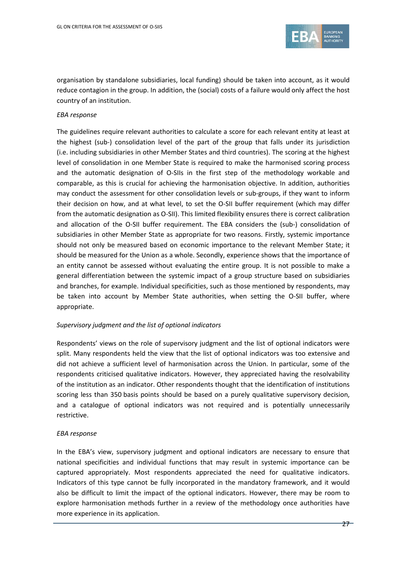

organisation by standalone subsidiaries, local funding) should be taken into account, as it would reduce contagion in the group. In addition, the (social) costs of a failure would only affect the host country of an institution.

#### *EBA response*

The guidelines require relevant authorities to calculate a score for each relevant entity at least at the highest (sub-) consolidation level of the part of the group that falls under its jurisdiction (i.e. including subsidiaries in other Member States and third countries). The scoring at the highest level of consolidation in one Member State is required to make the harmonised scoring process and the automatic designation of O-SIIs in the first step of the methodology workable and comparable, as this is crucial for achieving the harmonisation objective. In addition, authorities may conduct the assessment for other consolidation levels or sub-groups, if they want to inform their decision on how, and at what level, to set the O-SII buffer requirement (which may differ from the automatic designation as O-SII). This limited flexibility ensures there is correct calibration and allocation of the O-SII buffer requirement. The EBA considers the (sub-) consolidation of subsidiaries in other Member State as appropriate for two reasons. Firstly, systemic importance should not only be measured based on economic importance to the relevant Member State; it should be measured for the Union as a whole. Secondly, experience shows that the importance of an entity cannot be assessed without evaluating the entire group. It is not possible to make a general differentiation between the systemic impact of a group structure based on subsidiaries and branches, for example. Individual specificities, such as those mentioned by respondents, may be taken into account by Member State authorities, when setting the O-SII buffer, where appropriate.

#### *Supervisory judgment and the list of optional indicators*

Respondents' views on the role of supervisory judgment and the list of optional indicators were split. Many respondents held the view that the list of optional indicators was too extensive and did not achieve a sufficient level of harmonisation across the Union. In particular, some of the respondents criticised qualitative indicators. However, they appreciated having the resolvability of the institution as an indicator. Other respondents thought that the identification of institutions scoring less than 350 basis points should be based on a purely qualitative supervisory decision, and a catalogue of optional indicators was not required and is potentially unnecessarily restrictive.

#### *EBA response*

In the EBA's view, supervisory judgment and optional indicators are necessary to ensure that national specificities and individual functions that may result in systemic importance can be captured appropriately. Most respondents appreciated the need for qualitative indicators. Indicators of this type cannot be fully incorporated in the mandatory framework, and it would also be difficult to limit the impact of the optional indicators. However, there may be room to explore harmonisation methods further in a review of the methodology once authorities have more experience in its application.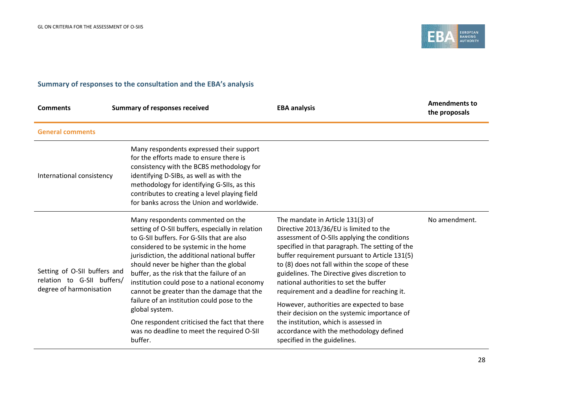

#### **Summary of responses to the consultation and the EBA's analysis**

| <b>Comments</b>                                                                       | <b>Summary of responses received</b>                                                                                                                                                                                                                                                                                                                                                                                                                                                                                                                                                          | <b>EBA analysis</b>                                                                                                                                                                                                                                                                                                                                                                                                                                                                                                                                                                                                                         | <b>Amendments to</b><br>the proposals |
|---------------------------------------------------------------------------------------|-----------------------------------------------------------------------------------------------------------------------------------------------------------------------------------------------------------------------------------------------------------------------------------------------------------------------------------------------------------------------------------------------------------------------------------------------------------------------------------------------------------------------------------------------------------------------------------------------|---------------------------------------------------------------------------------------------------------------------------------------------------------------------------------------------------------------------------------------------------------------------------------------------------------------------------------------------------------------------------------------------------------------------------------------------------------------------------------------------------------------------------------------------------------------------------------------------------------------------------------------------|---------------------------------------|
| <b>General comments</b>                                                               |                                                                                                                                                                                                                                                                                                                                                                                                                                                                                                                                                                                               |                                                                                                                                                                                                                                                                                                                                                                                                                                                                                                                                                                                                                                             |                                       |
| International consistency                                                             | Many respondents expressed their support<br>for the efforts made to ensure there is<br>consistency with the BCBS methodology for<br>identifying D-SIBs, as well as with the<br>methodology for identifying G-SIIs, as this<br>contributes to creating a level playing field<br>for banks across the Union and worldwide.                                                                                                                                                                                                                                                                      |                                                                                                                                                                                                                                                                                                                                                                                                                                                                                                                                                                                                                                             |                                       |
| Setting of O-SII buffers and<br>relation to G-SII buffers/<br>degree of harmonisation | Many respondents commented on the<br>setting of O-SII buffers, especially in relation<br>to G-SII buffers. For G-SIIs that are also<br>considered to be systemic in the home<br>jurisdiction, the additional national buffer<br>should never be higher than the global<br>buffer, as the risk that the failure of an<br>institution could pose to a national economy<br>cannot be greater than the damage that the<br>failure of an institution could pose to the<br>global system.<br>One respondent criticised the fact that there<br>was no deadline to meet the required O-SII<br>buffer. | The mandate in Article 131(3) of<br>Directive 2013/36/EU is limited to the<br>assessment of O-SIIs applying the conditions<br>specified in that paragraph. The setting of the<br>buffer requirement pursuant to Article 131(5)<br>to (8) does not fall within the scope of these<br>guidelines. The Directive gives discretion to<br>national authorities to set the buffer<br>requirement and a deadline for reaching it.<br>However, authorities are expected to base<br>their decision on the systemic importance of<br>the institution, which is assessed in<br>accordance with the methodology defined<br>specified in the guidelines. | No amendment.                         |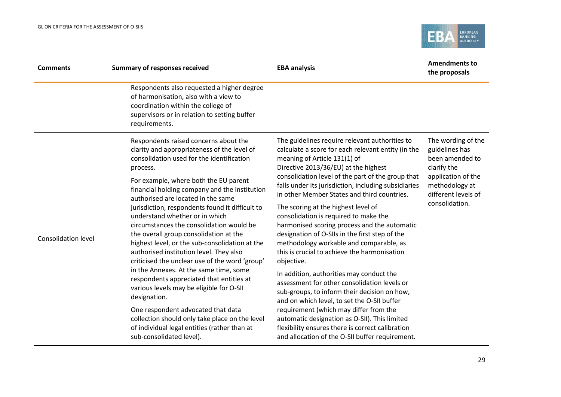

| <b>Comments</b>            | <b>Summary of responses received</b>                                                                                                                                                                                                                                                                                                                         | <b>EBA analysis</b>                                                                                                                                                                                                                                                                                                                      | <b>Amendments to</b><br>the proposals                                                                                                                   |
|----------------------------|--------------------------------------------------------------------------------------------------------------------------------------------------------------------------------------------------------------------------------------------------------------------------------------------------------------------------------------------------------------|------------------------------------------------------------------------------------------------------------------------------------------------------------------------------------------------------------------------------------------------------------------------------------------------------------------------------------------|---------------------------------------------------------------------------------------------------------------------------------------------------------|
|                            | Respondents also requested a higher degree<br>of harmonisation, also with a view to<br>coordination within the college of<br>supervisors or in relation to setting buffer<br>requirements.                                                                                                                                                                   |                                                                                                                                                                                                                                                                                                                                          |                                                                                                                                                         |
| <b>Consolidation level</b> | Respondents raised concerns about the<br>clarity and appropriateness of the level of<br>consolidation used for the identification<br>process.<br>For example, where both the EU parent<br>financial holding company and the institution                                                                                                                      | The guidelines require relevant authorities to<br>calculate a score for each relevant entity (in the<br>meaning of Article 131(1) of<br>Directive 2013/36/EU) at the highest<br>consolidation level of the part of the group that<br>falls under its jurisdiction, including subsidiaries<br>in other Member States and third countries. | The wording of the<br>guidelines has<br>been amended to<br>clarify the<br>application of the<br>methodology at<br>different levels of<br>consolidation. |
|                            | authorised are located in the same<br>jurisdiction, respondents found it difficult to<br>understand whether or in which<br>circumstances the consolidation would be<br>the overall group consolidation at the<br>highest level, or the sub-consolidation at the<br>authorised institution level. They also<br>criticised the unclear use of the word 'group' | The scoring at the highest level of<br>consolidation is required to make the<br>harmonised scoring process and the automatic<br>designation of O-SIIs in the first step of the<br>methodology workable and comparable, as<br>this is crucial to achieve the harmonisation<br>objective.                                                  |                                                                                                                                                         |
|                            | in the Annexes. At the same time, some<br>respondents appreciated that entities at<br>various levels may be eligible for O-SII<br>designation.                                                                                                                                                                                                               | In addition, authorities may conduct the<br>assessment for other consolidation levels or<br>sub-groups, to inform their decision on how,<br>and on which level, to set the O-SII buffer                                                                                                                                                  |                                                                                                                                                         |
|                            | One respondent advocated that data<br>collection should only take place on the level<br>of individual legal entities (rather than at<br>sub-consolidated level).                                                                                                                                                                                             | requirement (which may differ from the<br>automatic designation as O-SII). This limited<br>flexibility ensures there is correct calibration<br>and allocation of the O-SII buffer requirement.                                                                                                                                           |                                                                                                                                                         |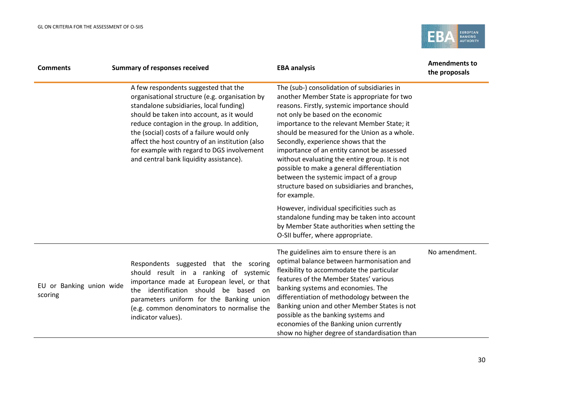

| <b>Comments</b>                     | <b>Summary of responses received</b>                                                                                                                                                                                                                                                                                                                                                                                    | <b>EBA analysis</b>                                                                                                                                                                                                                                                                                                                                                                                                                                                                                                                                                            | <b>Amendments to</b><br>the proposals |
|-------------------------------------|-------------------------------------------------------------------------------------------------------------------------------------------------------------------------------------------------------------------------------------------------------------------------------------------------------------------------------------------------------------------------------------------------------------------------|--------------------------------------------------------------------------------------------------------------------------------------------------------------------------------------------------------------------------------------------------------------------------------------------------------------------------------------------------------------------------------------------------------------------------------------------------------------------------------------------------------------------------------------------------------------------------------|---------------------------------------|
|                                     | A few respondents suggested that the<br>organisational structure (e.g. organisation by<br>standalone subsidiaries, local funding)<br>should be taken into account, as it would<br>reduce contagion in the group. In addition,<br>the (social) costs of a failure would only<br>affect the host country of an institution (also<br>for example with regard to DGS involvement<br>and central bank liquidity assistance). | The (sub-) consolidation of subsidiaries in<br>another Member State is appropriate for two<br>reasons. Firstly, systemic importance should<br>not only be based on the economic<br>importance to the relevant Member State; it<br>should be measured for the Union as a whole.<br>Secondly, experience shows that the<br>importance of an entity cannot be assessed<br>without evaluating the entire group. It is not<br>possible to make a general differentiation<br>between the systemic impact of a group<br>structure based on subsidiaries and branches,<br>for example. |                                       |
|                                     |                                                                                                                                                                                                                                                                                                                                                                                                                         | However, individual specificities such as<br>standalone funding may be taken into account<br>by Member State authorities when setting the<br>O-SII buffer, where appropriate.                                                                                                                                                                                                                                                                                                                                                                                                  |                                       |
| EU or Banking union wide<br>scoring | Respondents suggested that the scoring<br>should result in a ranking of systemic<br>importance made at European level, or that<br>identification should be based on<br>the<br>parameters uniform for the Banking union<br>(e.g. common denominators to normalise the<br>indicator values).                                                                                                                              | The guidelines aim to ensure there is an<br>optimal balance between harmonisation and<br>flexibility to accommodate the particular<br>features of the Member States' various<br>banking systems and economies. The<br>differentiation of methodology between the<br>Banking union and other Member States is not<br>possible as the banking systems and<br>economies of the Banking union currently<br>show no higher degree of standardisation than                                                                                                                           | No amendment.                         |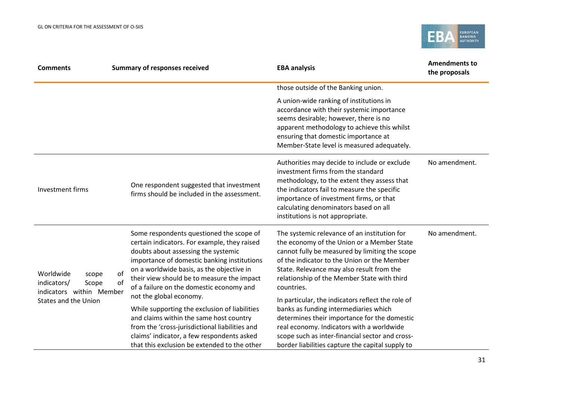

| <b>Comments</b>                                                                                       | <b>Summary of responses received</b>                                                                                                                                                                                                                                                                                                                                                                                                                                                                                                                                                                     | <b>EBA analysis</b>                                                                                                                                                                                                                                                                                                                                                                                                                                                                                                                                                                                     | <b>Amendments to</b><br>the proposals |
|-------------------------------------------------------------------------------------------------------|----------------------------------------------------------------------------------------------------------------------------------------------------------------------------------------------------------------------------------------------------------------------------------------------------------------------------------------------------------------------------------------------------------------------------------------------------------------------------------------------------------------------------------------------------------------------------------------------------------|---------------------------------------------------------------------------------------------------------------------------------------------------------------------------------------------------------------------------------------------------------------------------------------------------------------------------------------------------------------------------------------------------------------------------------------------------------------------------------------------------------------------------------------------------------------------------------------------------------|---------------------------------------|
|                                                                                                       |                                                                                                                                                                                                                                                                                                                                                                                                                                                                                                                                                                                                          | those outside of the Banking union.                                                                                                                                                                                                                                                                                                                                                                                                                                                                                                                                                                     |                                       |
|                                                                                                       |                                                                                                                                                                                                                                                                                                                                                                                                                                                                                                                                                                                                          | A union-wide ranking of institutions in<br>accordance with their systemic importance<br>seems desirable; however, there is no<br>apparent methodology to achieve this whilst<br>ensuring that domestic importance at<br>Member-State level is measured adequately.                                                                                                                                                                                                                                                                                                                                      |                                       |
| Investment firms                                                                                      | One respondent suggested that investment<br>firms should be included in the assessment.                                                                                                                                                                                                                                                                                                                                                                                                                                                                                                                  | Authorities may decide to include or exclude<br>investment firms from the standard<br>methodology, to the extent they assess that<br>the indicators fail to measure the specific<br>importance of investment firms, or that<br>calculating denominators based on all<br>institutions is not appropriate.                                                                                                                                                                                                                                                                                                | No amendment.                         |
| Worldwide<br>scope<br>indicators/<br>Scope<br>indicators within Member<br><b>States and the Union</b> | Some respondents questioned the scope of<br>certain indicators. For example, they raised<br>doubts about assessing the systemic<br>importance of domestic banking institutions<br>on a worldwide basis, as the objective in<br>of<br>their view should be to measure the impact<br>of<br>of a failure on the domestic economy and<br>not the global economy.<br>While supporting the exclusion of liabilities<br>and claims within the same host country<br>from the 'cross-jurisdictional liabilities and<br>claims' indicator, a few respondents asked<br>that this exclusion be extended to the other | The systemic relevance of an institution for<br>the economy of the Union or a Member State<br>cannot fully be measured by limiting the scope<br>of the indicator to the Union or the Member<br>State. Relevance may also result from the<br>relationship of the Member State with third<br>countries.<br>In particular, the indicators reflect the role of<br>banks as funding intermediaries which<br>determines their importance for the domestic<br>real economy. Indicators with a worldwide<br>scope such as inter-financial sector and cross-<br>border liabilities capture the capital supply to | No amendment.                         |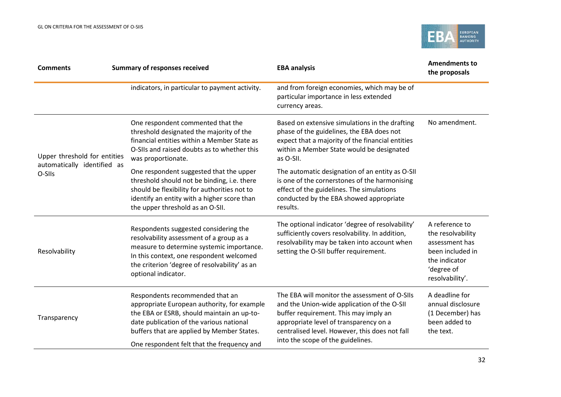

| <b>Comments</b>                       | <b>Summary of responses received</b>                                                                                                                                                                                                                                 | <b>EBA analysis</b>                                                                                                                                                                                                                                                    | <b>Amendments to</b><br>the proposals                                                                                       |
|---------------------------------------|----------------------------------------------------------------------------------------------------------------------------------------------------------------------------------------------------------------------------------------------------------------------|------------------------------------------------------------------------------------------------------------------------------------------------------------------------------------------------------------------------------------------------------------------------|-----------------------------------------------------------------------------------------------------------------------------|
|                                       | indicators, in particular to payment activity.                                                                                                                                                                                                                       | and from foreign economies, which may be of<br>particular importance in less extended<br>currency areas.                                                                                                                                                               |                                                                                                                             |
| Upper threshold for entities          | One respondent commented that the<br>threshold designated the majority of the<br>financial entities within a Member State as<br>O-SIIs and raised doubts as to whether this<br>was proportionate.                                                                    | Based on extensive simulations in the drafting<br>phase of the guidelines, the EBA does not<br>expect that a majority of the financial entities<br>within a Member State would be designated<br>as O-SII.                                                              | No amendment.                                                                                                               |
| automatically identified as<br>O-SIIs | One respondent suggested that the upper<br>threshold should not be binding, i.e. there<br>should be flexibility for authorities not to<br>identify an entity with a higher score than<br>the upper threshold as an O-SII.                                            | The automatic designation of an entity as O-SII<br>is one of the cornerstones of the harmonising<br>effect of the guidelines. The simulations<br>conducted by the EBA showed appropriate<br>results.                                                                   |                                                                                                                             |
| Resolvability                         | Respondents suggested considering the<br>resolvability assessment of a group as a<br>measure to determine systemic importance.<br>In this context, one respondent welcomed<br>the criterion 'degree of resolvability' as an<br>optional indicator.                   | The optional indicator 'degree of resolvability'<br>sufficiently covers resolvability. In addition,<br>resolvability may be taken into account when<br>setting the O-SII buffer requirement.                                                                           | A reference to<br>the resolvability<br>assessment has<br>been included in<br>the indicator<br>'degree of<br>resolvability'. |
| Transparency                          | Respondents recommended that an<br>appropriate European authority, for example<br>the EBA or ESRB, should maintain an up-to-<br>date publication of the various national<br>buffers that are applied by Member States.<br>One respondent felt that the frequency and | The EBA will monitor the assessment of O-SIIs<br>and the Union-wide application of the O-SII<br>buffer requirement. This may imply an<br>appropriate level of transparency on a<br>centralised level. However, this does not fall<br>into the scope of the guidelines. | A deadline for<br>annual disclosure<br>(1 December) has<br>been added to<br>the text.                                       |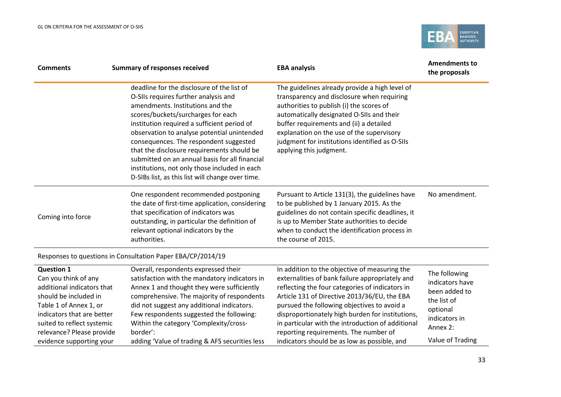

| <b>Comments</b>                                                                                                                                                                                                                                 | <b>Summary of responses received</b>                                                                                                                                                                                                                                                                                                                                                                                                                                                                      | <b>EBA analysis</b>                                                                                                                                                                                                                                                                                                                                                                                                                                  | <b>Amendments to</b><br>the proposals                                                                                         |
|-------------------------------------------------------------------------------------------------------------------------------------------------------------------------------------------------------------------------------------------------|-----------------------------------------------------------------------------------------------------------------------------------------------------------------------------------------------------------------------------------------------------------------------------------------------------------------------------------------------------------------------------------------------------------------------------------------------------------------------------------------------------------|------------------------------------------------------------------------------------------------------------------------------------------------------------------------------------------------------------------------------------------------------------------------------------------------------------------------------------------------------------------------------------------------------------------------------------------------------|-------------------------------------------------------------------------------------------------------------------------------|
|                                                                                                                                                                                                                                                 | deadline for the disclosure of the list of<br>O-SIIs requires further analysis and<br>amendments. Institutions and the<br>scores/buckets/surcharges for each<br>institution required a sufficient period of<br>observation to analyse potential unintended<br>consequences. The respondent suggested<br>that the disclosure requirements should be<br>submitted on an annual basis for all financial<br>institutions, not only those included in each<br>D-SIBs list, as this list will change over time. | The guidelines already provide a high level of<br>transparency and disclosure when requiring<br>authorities to publish (i) the scores of<br>automatically designated O-SIIs and their<br>buffer requirements and (ii) a detailed<br>explanation on the use of the supervisory<br>judgment for institutions identified as O-SIIs<br>applying this judgment.                                                                                           |                                                                                                                               |
| Coming into force                                                                                                                                                                                                                               | One respondent recommended postponing<br>the date of first-time application, considering<br>that specification of indicators was<br>outstanding, in particular the definition of<br>relevant optional indicators by the<br>authorities.                                                                                                                                                                                                                                                                   | Pursuant to Article 131(3), the guidelines have<br>to be published by 1 January 2015. As the<br>guidelines do not contain specific deadlines, it<br>is up to Member State authorities to decide<br>when to conduct the identification process in<br>the course of 2015.                                                                                                                                                                              | No amendment.                                                                                                                 |
|                                                                                                                                                                                                                                                 | Responses to questions in Consultation Paper EBA/CP/2014/19                                                                                                                                                                                                                                                                                                                                                                                                                                               |                                                                                                                                                                                                                                                                                                                                                                                                                                                      |                                                                                                                               |
| <b>Question 1</b><br>Can you think of any<br>additional indicators that<br>should be included in<br>Table 1 of Annex 1, or<br>indicators that are better<br>suited to reflect systemic<br>relevance? Please provide<br>evidence supporting your | Overall, respondents expressed their<br>satisfaction with the mandatory indicators in<br>Annex 1 and thought they were sufficiently<br>comprehensive. The majority of respondents<br>did not suggest any additional indicators.<br>Few respondents suggested the following:<br>Within the category 'Complexity/cross-<br>border':<br>adding 'Value of trading & AFS securities less                                                                                                                       | In addition to the objective of measuring the<br>externalities of bank failure appropriately and<br>reflecting the four categories of indicators in<br>Article 131 of Directive 2013/36/EU, the EBA<br>pursued the following objectives to avoid a<br>disproportionately high burden for institutions,<br>in particular with the introduction of additional<br>reporting requirements. The number of<br>indicators should be as low as possible, and | The following<br>indicators have<br>been added to<br>the list of<br>optional<br>indicators in<br>Annex 2:<br>Value of Trading |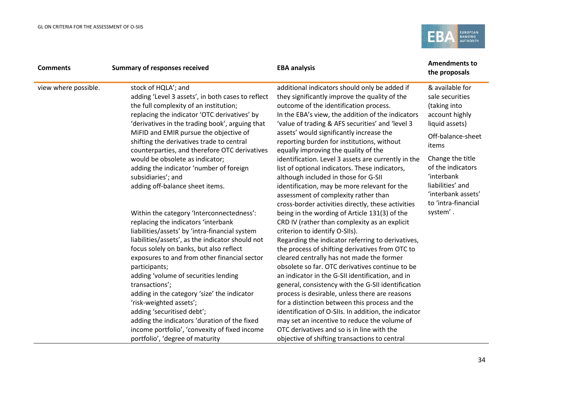

| <b>Comments</b>      | <b>Summary of responses received</b>                                                                                                                                                                                                                            | <b>EBA analysis</b>                                                                                                                                                                                                                                                                           | <b>Amendments to</b><br>the proposals                                                                       |
|----------------------|-----------------------------------------------------------------------------------------------------------------------------------------------------------------------------------------------------------------------------------------------------------------|-----------------------------------------------------------------------------------------------------------------------------------------------------------------------------------------------------------------------------------------------------------------------------------------------|-------------------------------------------------------------------------------------------------------------|
| view where possible. | stock of HQLA'; and<br>adding 'Level 3 assets', in both cases to reflect<br>the full complexity of an institution;<br>replacing the indicator 'OTC derivatives' by<br>'derivatives in the trading book', arguing that<br>MiFID and EMIR pursue the objective of | additional indicators should only be added if<br>they significantly improve the quality of the<br>outcome of the identification process.<br>In the EBA's view, the addition of the indicators<br>'value of trading & AFS securities' and 'level 3<br>assets' would significantly increase the | & available for<br>sale securities<br>(taking into<br>account highly<br>liquid assets)<br>Off-balance-sheet |
|                      | shifting the derivatives trade to central<br>counterparties, and therefore OTC derivatives                                                                                                                                                                      | reporting burden for institutions, without<br>equally improving the quality of the                                                                                                                                                                                                            | items                                                                                                       |
|                      | would be obsolete as indicator;<br>adding the indicator 'number of foreign<br>subsidiaries'; and                                                                                                                                                                | identification. Level 3 assets are currently in the<br>list of optional indicators. These indicators,<br>although included in those for G-SII                                                                                                                                                 | Change the title<br>of the indicators<br>'interbank                                                         |
|                      | adding off-balance sheet items.                                                                                                                                                                                                                                 | identification, may be more relevant for the<br>assessment of complexity rather than<br>cross-border activities directly, these activities                                                                                                                                                    | liabilities' and<br>'interbank assets'<br>to 'intra-financial                                               |
|                      | Within the category 'Interconnectedness':<br>replacing the indicators 'interbank<br>liabilities/assets' by 'intra-financial system                                                                                                                              | being in the wording of Article 131(3) of the<br>CRD IV (rather than complexity as an explicit<br>criterion to identify O-SIIs).                                                                                                                                                              | system'.                                                                                                    |
|                      | liabilities/assets', as the indicator should not<br>focus solely on banks, but also reflect<br>exposures to and from other financial sector                                                                                                                     | Regarding the indicator referring to derivatives,<br>the process of shifting derivatives from OTC to<br>cleared centrally has not made the former                                                                                                                                             |                                                                                                             |
|                      | participants;<br>adding 'volume of securities lending                                                                                                                                                                                                           | obsolete so far. OTC derivatives continue to be<br>an indicator in the G-SII identification, and in                                                                                                                                                                                           |                                                                                                             |
|                      | transactions';<br>adding in the category 'size' the indicator<br>'risk-weighted assets';                                                                                                                                                                        | general, consistency with the G-SII identification<br>process is desirable, unless there are reasons<br>for a distinction between this process and the                                                                                                                                        |                                                                                                             |
|                      | adding 'securitised debt';<br>adding the indicators 'duration of the fixed                                                                                                                                                                                      | identification of O-SIIs. In addition, the indicator<br>may set an incentive to reduce the volume of<br>OTC derivatives and so is in line with the                                                                                                                                            |                                                                                                             |
|                      | income portfolio', 'convexity of fixed income<br>portfolio', 'degree of maturity                                                                                                                                                                                | objective of shifting transactions to central                                                                                                                                                                                                                                                 |                                                                                                             |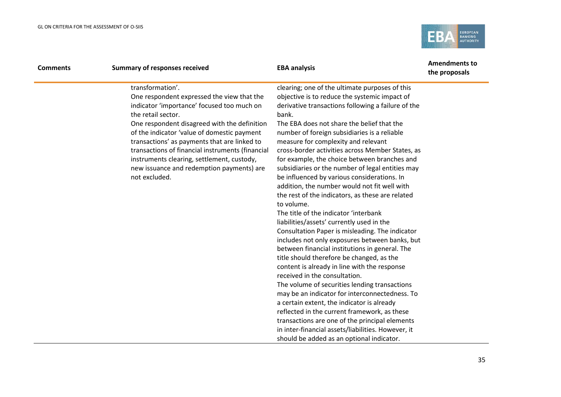

| <b>Comments</b> | <b>Summary of responses received</b>                                                                                                                                                                                                                                                                                                                                                                                                              | <b>EBA analysis</b>                                                                                                                                                                                                                                                                                                                                                                                                                                                                                                                                                                                                                                                                                                | <b>Amendments to</b><br>the proposals |
|-----------------|---------------------------------------------------------------------------------------------------------------------------------------------------------------------------------------------------------------------------------------------------------------------------------------------------------------------------------------------------------------------------------------------------------------------------------------------------|--------------------------------------------------------------------------------------------------------------------------------------------------------------------------------------------------------------------------------------------------------------------------------------------------------------------------------------------------------------------------------------------------------------------------------------------------------------------------------------------------------------------------------------------------------------------------------------------------------------------------------------------------------------------------------------------------------------------|---------------------------------------|
|                 | transformation'.<br>One respondent expressed the view that the<br>indicator 'importance' focused too much on<br>the retail sector.<br>One respondent disagreed with the definition<br>of the indicator 'value of domestic payment<br>transactions' as payments that are linked to<br>transactions of financial instruments (financial<br>instruments clearing, settlement, custody,<br>new issuance and redemption payments) are<br>not excluded. | clearing; one of the ultimate purposes of this<br>objective is to reduce the systemic impact of<br>derivative transactions following a failure of the<br>bank.<br>The EBA does not share the belief that the<br>number of foreign subsidiaries is a reliable<br>measure for complexity and relevant<br>cross-border activities across Member States, as<br>for example, the choice between branches and<br>subsidiaries or the number of legal entities may<br>be influenced by various considerations. In<br>addition, the number would not fit well with<br>the rest of the indicators, as these are related<br>to volume.<br>The title of the indicator 'interbank<br>liabilities/assets' currently used in the |                                       |
|                 |                                                                                                                                                                                                                                                                                                                                                                                                                                                   | Consultation Paper is misleading. The indicator<br>includes not only exposures between banks, but<br>between financial institutions in general. The<br>title should therefore be changed, as the<br>content is already in line with the response<br>received in the consultation.<br>The volume of securities lending transactions<br>may be an indicator for interconnectedness. To<br>a certain extent, the indicator is already<br>reflected in the current framework, as these                                                                                                                                                                                                                                 |                                       |
|                 |                                                                                                                                                                                                                                                                                                                                                                                                                                                   | transactions are one of the principal elements<br>in inter-financial assets/liabilities. However, it<br>should be added as an optional indicator.                                                                                                                                                                                                                                                                                                                                                                                                                                                                                                                                                                  |                                       |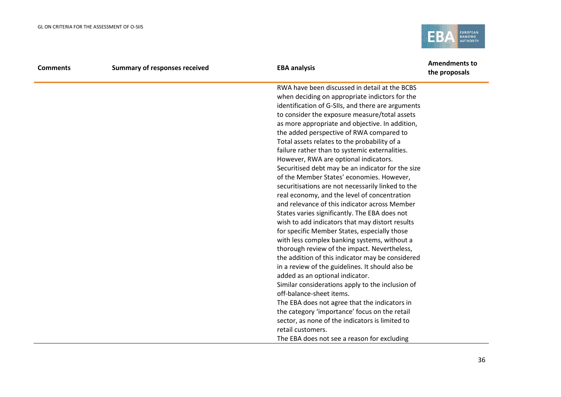

| <b>Comments</b> | <b>Summary of responses received</b> | <b>EBA analysis</b>                               | <b>Amendments to</b><br>the proposals |
|-----------------|--------------------------------------|---------------------------------------------------|---------------------------------------|
|                 |                                      | RWA have been discussed in detail at the BCBS     |                                       |
|                 |                                      | when deciding on appropriate indictors for the    |                                       |
|                 |                                      | identification of G-SIIs, and there are arguments |                                       |
|                 |                                      | to consider the exposure measure/total assets     |                                       |
|                 |                                      | as more appropriate and objective. In addition,   |                                       |
|                 |                                      | the added perspective of RWA compared to          |                                       |
|                 |                                      | Total assets relates to the probability of a      |                                       |
|                 |                                      | failure rather than to systemic externalities.    |                                       |
|                 |                                      | However, RWA are optional indicators.             |                                       |
|                 |                                      | Securitised debt may be an indicator for the size |                                       |
|                 |                                      | of the Member States' economies. However,         |                                       |
|                 |                                      | securitisations are not necessarily linked to the |                                       |
|                 |                                      | real economy, and the level of concentration      |                                       |
|                 |                                      | and relevance of this indicator across Member     |                                       |
|                 |                                      | States varies significantly. The EBA does not     |                                       |
|                 |                                      | wish to add indicators that may distort results   |                                       |
|                 |                                      | for specific Member States, especially those      |                                       |
|                 |                                      | with less complex banking systems, without a      |                                       |
|                 |                                      | thorough review of the impact. Nevertheless,      |                                       |
|                 |                                      | the addition of this indicator may be considered  |                                       |
|                 |                                      | in a review of the guidelines. It should also be  |                                       |
|                 |                                      | added as an optional indicator.                   |                                       |
|                 |                                      | Similar considerations apply to the inclusion of  |                                       |
|                 |                                      | off-balance-sheet items.                          |                                       |
|                 |                                      | The EBA does not agree that the indicators in     |                                       |
|                 |                                      | the category 'importance' focus on the retail     |                                       |
|                 |                                      | sector, as none of the indicators is limited to   |                                       |
|                 |                                      | retail customers.                                 |                                       |
|                 |                                      | The EBA does not see a reason for excluding       |                                       |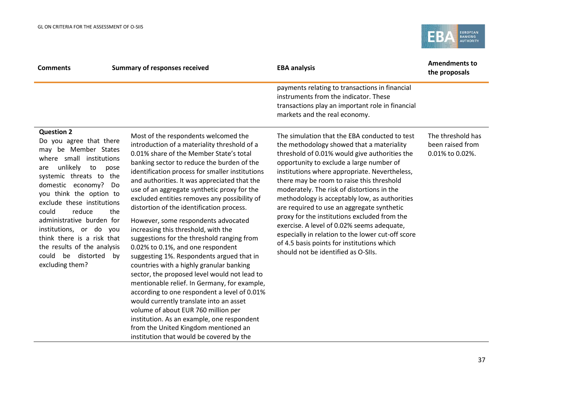think there is a risk that the results of the analysis could be distorted by

excluding them?



| <b>Comments</b>                                                                                                                                                                                                                                                                                                                                | <b>Summary of responses received</b>                                                                                                                                                                                                                                                                                                                                                                                                                                                                       | <b>EBA analysis</b>                                                                                                                                                                                                                                                                                                                                                                                                                                                                                                              | <b>Amendments to</b><br>the proposals                    |
|------------------------------------------------------------------------------------------------------------------------------------------------------------------------------------------------------------------------------------------------------------------------------------------------------------------------------------------------|------------------------------------------------------------------------------------------------------------------------------------------------------------------------------------------------------------------------------------------------------------------------------------------------------------------------------------------------------------------------------------------------------------------------------------------------------------------------------------------------------------|----------------------------------------------------------------------------------------------------------------------------------------------------------------------------------------------------------------------------------------------------------------------------------------------------------------------------------------------------------------------------------------------------------------------------------------------------------------------------------------------------------------------------------|----------------------------------------------------------|
|                                                                                                                                                                                                                                                                                                                                                |                                                                                                                                                                                                                                                                                                                                                                                                                                                                                                            | payments relating to transactions in financial<br>instruments from the indicator. These<br>transactions play an important role in financial<br>markets and the real economy.                                                                                                                                                                                                                                                                                                                                                     |                                                          |
| <b>Question 2</b><br>Do you agree that there<br>be Member States<br>may<br>small institutions<br>where<br>unlikely<br>to<br>pose<br>are<br>systemic threats to<br>the<br>domestic economy?<br>Do<br>you think the option to<br>exclude these institutions<br>could<br>reduce<br>the<br>administrative burden for<br>institutions, or do<br>vou | Most of the respondents welcomed the<br>introduction of a materiality threshold of a<br>0.01% share of the Member State's total<br>banking sector to reduce the burden of the<br>identification process for smaller institutions<br>and authorities. It was appreciated that the<br>use of an aggregate synthetic proxy for the<br>excluded entities removes any possibility of<br>distortion of the identification process.<br>However, some respondents advocated<br>increasing this threshold, with the | The simulation that the EBA conducted to test<br>the methodology showed that a materiality<br>threshold of 0.01% would give authorities the<br>opportunity to exclude a large number of<br>institutions where appropriate. Nevertheless,<br>there may be room to raise this threshold<br>moderately. The risk of distortions in the<br>methodology is acceptably low, as authorities<br>are required to use an aggregate synthetic<br>proxy for the institutions excluded from the<br>exercise. A level of 0.02% seems adequate, | The threshold has<br>been raised from<br>0.01% to 0.02%. |

especially in relation to the lower cut-off score

of 4.5 basis points for institutions which should not be identified as O-SIIs.

suggestions for the threshold ranging from

suggesting 1%. Respondents argued that in countries with a highly granular banking sector, the proposed level would not lead to mentionable relief. In Germany, for example, according to one respondent a level of 0.01%

would currently translate into an asset volume of about EUR 760 million per

institution. As an example, one respondent from the United Kingdom mentioned an institution that would be covered by the

0.02% to 0.1%, and one respondent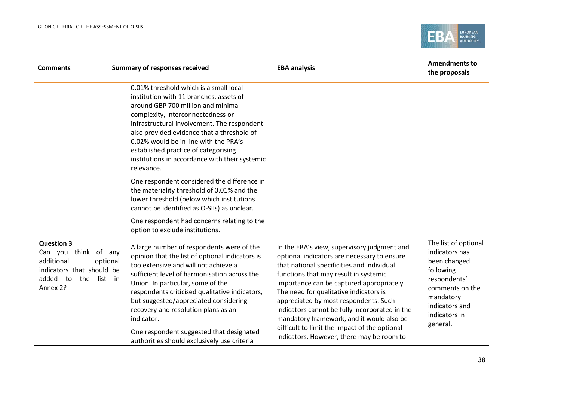

| <b>Comments</b>                                                                                                                         | <b>Summary of responses received</b>                                                                                                                                                                                                                                                                                                                                                                       | <b>EBA analysis</b>                                                                                                                                                                                                                                                                                                                                                                                                                                               | <b>Amendments to</b><br>the proposals                                                                                                                              |
|-----------------------------------------------------------------------------------------------------------------------------------------|------------------------------------------------------------------------------------------------------------------------------------------------------------------------------------------------------------------------------------------------------------------------------------------------------------------------------------------------------------------------------------------------------------|-------------------------------------------------------------------------------------------------------------------------------------------------------------------------------------------------------------------------------------------------------------------------------------------------------------------------------------------------------------------------------------------------------------------------------------------------------------------|--------------------------------------------------------------------------------------------------------------------------------------------------------------------|
|                                                                                                                                         | 0.01% threshold which is a small local<br>institution with 11 branches, assets of<br>around GBP 700 million and minimal<br>complexity, interconnectedness or<br>infrastructural involvement. The respondent<br>also provided evidence that a threshold of<br>0.02% would be in line with the PRA's<br>established practice of categorising<br>institutions in accordance with their systemic<br>relevance. |                                                                                                                                                                                                                                                                                                                                                                                                                                                                   |                                                                                                                                                                    |
|                                                                                                                                         | One respondent considered the difference in<br>the materiality threshold of 0.01% and the<br>lower threshold (below which institutions<br>cannot be identified as O-SIIs) as unclear.                                                                                                                                                                                                                      |                                                                                                                                                                                                                                                                                                                                                                                                                                                                   |                                                                                                                                                                    |
|                                                                                                                                         | One respondent had concerns relating to the<br>option to exclude institutions.                                                                                                                                                                                                                                                                                                                             |                                                                                                                                                                                                                                                                                                                                                                                                                                                                   |                                                                                                                                                                    |
| <b>Question 3</b><br>Can you think of any<br>additional<br>optional<br>indicators that should be<br>added to<br>the list in<br>Annex 2? | A large number of respondents were of the<br>opinion that the list of optional indicators is<br>too extensive and will not achieve a<br>sufficient level of harmonisation across the<br>Union. In particular, some of the<br>respondents criticised qualitative indicators,<br>but suggested/appreciated considering<br>recovery and resolution plans as an<br>indicator.                                  | In the EBA's view, supervisory judgment and<br>optional indicators are necessary to ensure<br>that national specificities and individual<br>functions that may result in systemic<br>importance can be captured appropriately.<br>The need for qualitative indicators is<br>appreciated by most respondents. Such<br>indicators cannot be fully incorporated in the<br>mandatory framework, and it would also be<br>difficult to limit the impact of the optional | The list of optional<br>indicators has<br>been changed<br>following<br>respondents'<br>comments on the<br>mandatory<br>indicators and<br>indicators in<br>general. |
|                                                                                                                                         | One respondent suggested that designated<br>authorities should exclusively use criteria                                                                                                                                                                                                                                                                                                                    | indicators. However, there may be room to                                                                                                                                                                                                                                                                                                                                                                                                                         |                                                                                                                                                                    |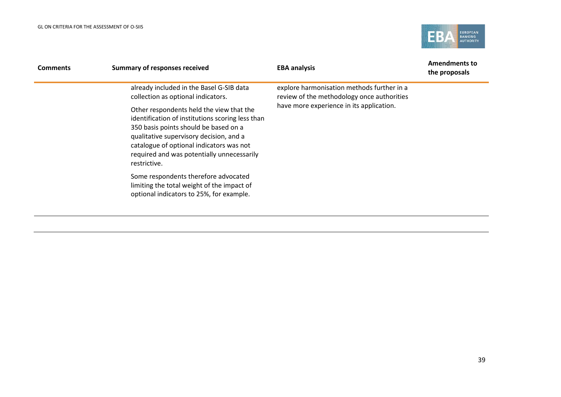

| <b>Comments</b> | <b>Summary of responses received</b>                                                                                                                                                                                                                                                       | <b>EBA analysis</b>                                                                                                                  | <b>Amendments to</b><br>the proposals |
|-----------------|--------------------------------------------------------------------------------------------------------------------------------------------------------------------------------------------------------------------------------------------------------------------------------------------|--------------------------------------------------------------------------------------------------------------------------------------|---------------------------------------|
|                 | already included in the Basel G-SIB data<br>collection as optional indicators.                                                                                                                                                                                                             | explore harmonisation methods further in a<br>review of the methodology once authorities<br>have more experience in its application. |                                       |
|                 | Other respondents held the view that the<br>identification of institutions scoring less than<br>350 basis points should be based on a<br>qualitative supervisory decision, and a<br>catalogue of optional indicators was not<br>required and was potentially unnecessarily<br>restrictive. |                                                                                                                                      |                                       |
|                 | Some respondents therefore advocated<br>limiting the total weight of the impact of<br>optional indicators to 25%, for example.                                                                                                                                                             |                                                                                                                                      |                                       |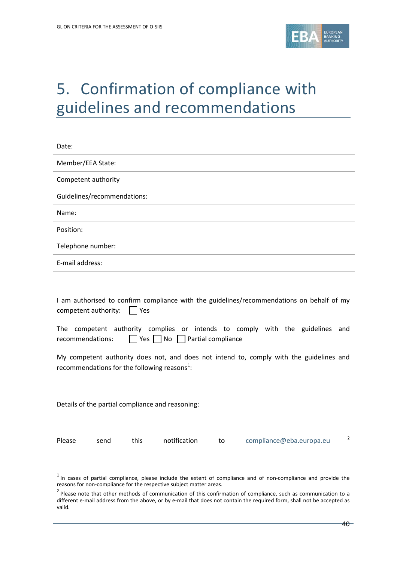

# 5. Confirmation of compliance with guidelines and recommendations

| Date:                       |
|-----------------------------|
| Member/EEA State:           |
| Competent authority         |
| Guidelines/recommendations: |
| Name:                       |
| Position:                   |
| Telephone number:           |
| E-mail address:             |
|                             |

I am authorised to confirm compliance with the guidelines/recommendations on behalf of my competent authority:  $\Box$  Yes

The competent authority complies or intends to comply with the guidelines and recommendations:  $\Box$  Yes  $\Box$  No  $\Box$  Partial compliance

My competent authority does not, and does not intend to, comply with the guidelines and recommendations for the following reasons<sup>[1](#page-39-0)</sup>:

Details of the partial compliance and reasoning:

 $\overline{a}$ 

Please send this notification to [compliance@eba.europa.eu](mailto:compliance@eba.europa.eu) <sup>[2](#page-39-1)</sup>

<span id="page-39-0"></span> $1$  In cases of partial compliance, please include the extent of compliance and of non-compliance and provide the reasons for non-compliance for the respective subject matter areas.

<span id="page-39-1"></span> $2$  Please note that other methods of communication of this confirmation of compliance, such as communication to a different e-mail address from the above, or by e-mail that does not contain the required form, shall not be accepted as valid.